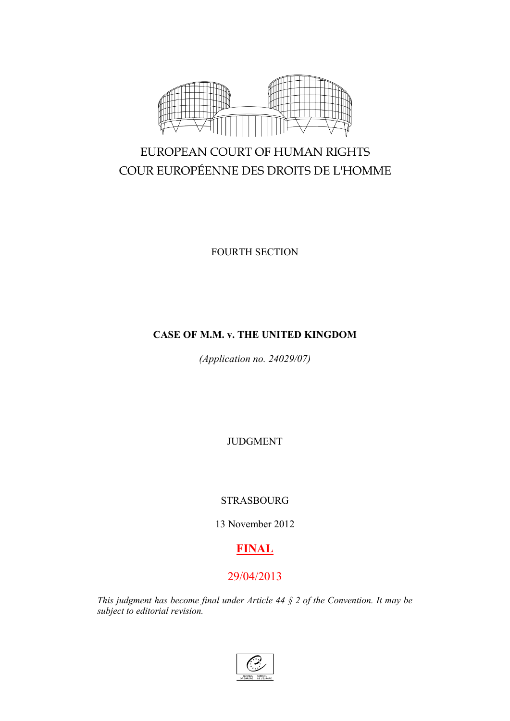

# EUROPEAN COURT OF HUMAN RIGHTS COUR EUROPÉENNE DES DROITS DE L'HOMME

FOURTH SECTION

## **CASE OF M.M. v. THE UNITED KINGDOM**

*(Application no. 24029/07)*

JUDGMENT

# STRASBOURG

13 November 2012

# **FINAL**

# 29/04/2013

*This judgment has become final under Article 44 § 2 of the Convention. It may be subject to editorial revision.*

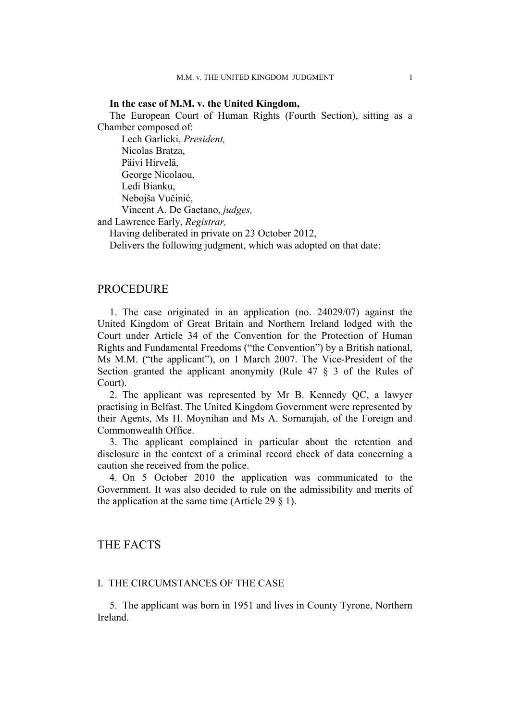## **In the case of M.M. v. the United Kingdom,**

The European Court of Human Rights (Fourth Section), sitting as a Chamber composed of:

Lech Garlicki, *President,* Nicolas Bratza, Päivi Hirvelä, George Nicolaou, Ledi Bianku, Nebojša Vučinić, Vincent A. De Gaetano, *judges,*

and Lawrence Early, *Registrar,*

Having deliberated in private on 23 October 2012,

Delivers the following judgment, which was adopted on that date:

## **PROCEDURE**

1. The case originated in an application (no. 24029/07) against the United Kingdom of Great Britain and Northern Ireland lodged with the Court under Article 34 of the Convention for the Protection of Human Rights and Fundamental Freedoms ("the Convention") by a British national, Ms M.M. ("the applicant"), on 1 March 2007. The Vice-President of the Section granted the applicant anonymity (Rule 47 § 3 of the Rules of Court).

2. The applicant was represented by Mr B. Kennedy QC, a lawyer practising in Belfast. The United Kingdom Government were represented by their Agents, Ms H. Moynihan and Ms A. Sornarajah, of the Foreign and Commonwealth Office.

3. The applicant complained in particular about the retention and disclosure in the context of a criminal record check of data concerning a caution she received from the police.

4. On 5 October 2010 the application was communicated to the Government. It was also decided to rule on the admissibility and merits of the application at the same time (Article 29  $\S$  1).

## THE FACTS

## I. THE CIRCUMSTANCES OF THE CASE

5. The applicant was born in 1951 and lives in County Tyrone, Northern Ireland.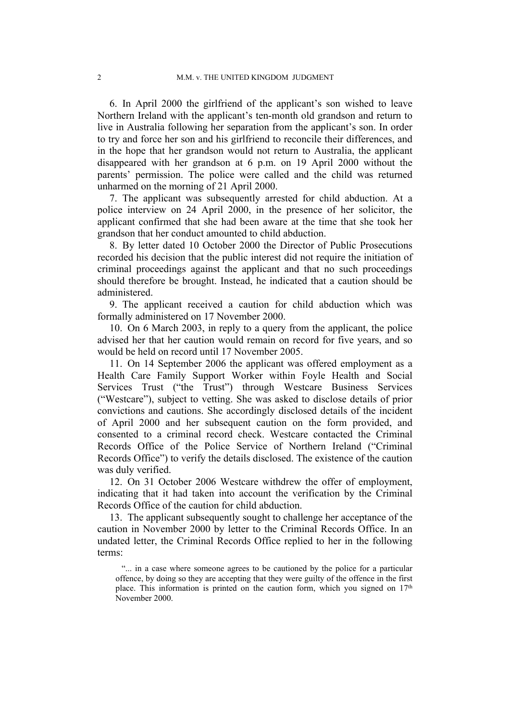6. In April 2000 the girlfriend of the applicant's son wished to leave Northern Ireland with the applicant's ten-month old grandson and return to live in Australia following her separation from the applicant's son. In order to try and force her son and his girlfriend to reconcile their differences, and in the hope that her grandson would not return to Australia, the applicant disappeared with her grandson at 6 p.m. on 19 April 2000 without the parents' permission. The police were called and the child was returned unharmed on the morning of 21 April 2000.

7. The applicant was subsequently arrested for child abduction. At a police interview on 24 April 2000, in the presence of her solicitor, the applicant confirmed that she had been aware at the time that she took her grandson that her conduct amounted to child abduction.

8. By letter dated 10 October 2000 the Director of Public Prosecutions recorded his decision that the public interest did not require the initiation of criminal proceedings against the applicant and that no such proceedings should therefore be brought. Instead, he indicated that a caution should be administered.

9. The applicant received a caution for child abduction which was formally administered on 17 November 2000.

10. On 6 March 2003, in reply to a query from the applicant, the police advised her that her caution would remain on record for five years, and so would be held on record until 17 November 2005.

11. On 14 September 2006 the applicant was offered employment as a Health Care Family Support Worker within Foyle Health and Social Services Trust ("the Trust") through Westcare Business Services ("Westcare"), subject to vetting. She was asked to disclose details of prior convictions and cautions. She accordingly disclosed details of the incident of April 2000 and her subsequent caution on the form provided, and consented to a criminal record check. Westcare contacted the Criminal Records Office of the Police Service of Northern Ireland ("Criminal Records Office") to verify the details disclosed. The existence of the caution was duly verified.

12. On 31 October 2006 Westcare withdrew the offer of employment, indicating that it had taken into account the verification by the Criminal Records Office of the caution for child abduction.

13. The applicant subsequently sought to challenge her acceptance of the caution in November 2000 by letter to the Criminal Records Office. In an undated letter, the Criminal Records Office replied to her in the following terms:

"... in a case where someone agrees to be cautioned by the police for a particular offence, by doing so they are accepting that they were guilty of the offence in the first place. This information is printed on the caution form, which you signed on  $17<sup>th</sup>$ November 2000.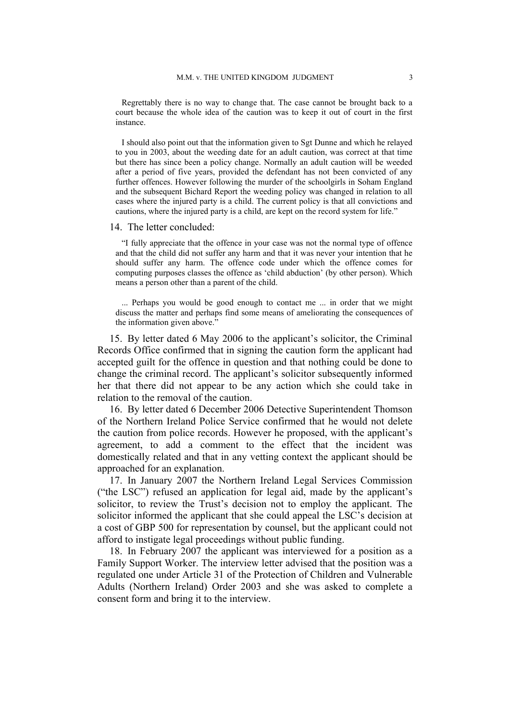Regrettably there is no way to change that. The case cannot be brought back to a court because the whole idea of the caution was to keep it out of court in the first instance.

I should also point out that the information given to Sgt Dunne and which he relayed to you in 2003, about the weeding date for an adult caution, was correct at that time but there has since been a policy change. Normally an adult caution will be weeded after a period of five years, provided the defendant has not been convicted of any further offences. However following the murder of the schoolgirls in Soham England and the subsequent Bichard Report the weeding policy was changed in relation to all cases where the injured party is a child. The current policy is that all convictions and cautions, where the injured party is a child, are kept on the record system for life."

#### 14. The letter concluded:

"I fully appreciate that the offence in your case was not the normal type of offence and that the child did not suffer any harm and that it was never your intention that he should suffer any harm. The offence code under which the offence comes for computing purposes classes the offence as 'child abduction' (by other person). Which means a person other than a parent of the child.

... Perhaps you would be good enough to contact me ... in order that we might discuss the matter and perhaps find some means of ameliorating the consequences of the information given above."

15. By letter dated 6 May 2006 to the applicant's solicitor, the Criminal Records Office confirmed that in signing the caution form the applicant had accepted guilt for the offence in question and that nothing could be done to change the criminal record. The applicant's solicitor subsequently informed her that there did not appear to be any action which she could take in relation to the removal of the caution.

16. By letter dated 6 December 2006 Detective Superintendent Thomson of the Northern Ireland Police Service confirmed that he would not delete the caution from police records. However he proposed, with the applicant's agreement, to add a comment to the effect that the incident was domestically related and that in any vetting context the applicant should be approached for an explanation.

17. In January 2007 the Northern Ireland Legal Services Commission ("the LSC") refused an application for legal aid, made by the applicant's solicitor, to review the Trust's decision not to employ the applicant. The solicitor informed the applicant that she could appeal the LSC's decision at a cost of GBP 500 for representation by counsel, but the applicant could not afford to instigate legal proceedings without public funding.

18. In February 2007 the applicant was interviewed for a position as a Family Support Worker. The interview letter advised that the position was a regulated one under Article 31 of the Protection of Children and Vulnerable Adults (Northern Ireland) Order 2003 and she was asked to complete a consent form and bring it to the interview.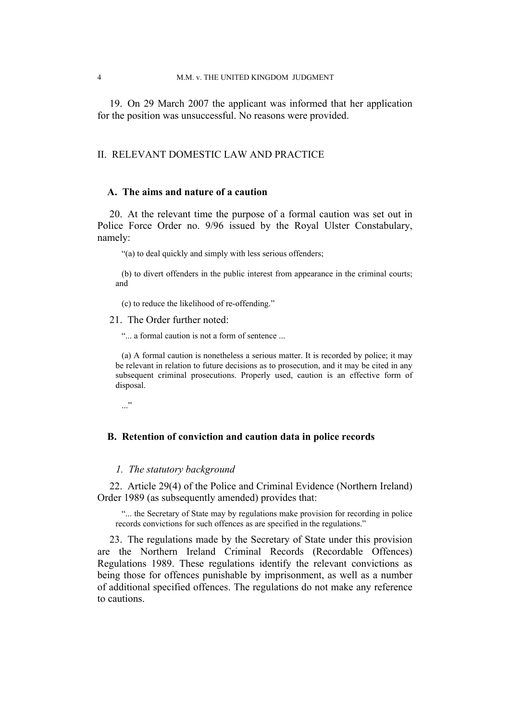19. On 29 March 2007 the applicant was informed that her application for the position was unsuccessful. No reasons were provided.

## II. RELEVANT DOMESTIC LAW AND PRACTICE

## **A. The aims and nature of a caution**

20. At the relevant time the purpose of a formal caution was set out in Police Force Order no. 9/96 issued by the Royal Ulster Constabulary, namely:

"(a) to deal quickly and simply with less serious offenders;

(b) to divert offenders in the public interest from appearance in the criminal courts; and

(c) to reduce the likelihood of re-offending."

21. The Order further noted:

"... a formal caution is not a form of sentence ...

(a) A formal caution is nonetheless a serious matter. It is recorded by police; it may be relevant in relation to future decisions as to prosecution, and it may be cited in any subsequent criminal prosecutions. Properly used, caution is an effective form of disposal.

 $\cdots$ 

## **B. Retention of conviction and caution data in police records**

## *1. The statutory background*

22. Article 29(4) of the Police and Criminal Evidence (Northern Ireland) Order 1989 (as subsequently amended) provides that:

"... the Secretary of State may by regulations make provision for recording in police records convictions for such offences as are specified in the regulations."

23. The regulations made by the Secretary of State under this provision are the Northern Ireland Criminal Records (Recordable Offences) Regulations 1989. These regulations identify the relevant convictions as being those for offences punishable by imprisonment, as well as a number of additional specified offences. The regulations do not make any reference to cautions.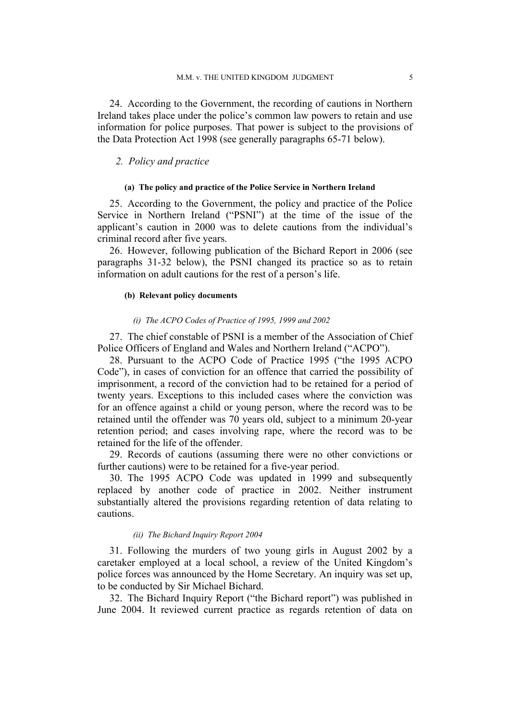24. According to the Government, the recording of cautions in Northern Ireland takes place under the police's common law powers to retain and use information for police purposes. That power is subject to the provisions of the Data Protection Act 1998 (see generally paragraphs 65-71 below).

### *2. Policy and practice*

### **(a) The policy and practice of the Police Service in Northern Ireland**

25. According to the Government, the policy and practice of the Police Service in Northern Ireland ("PSNI") at the time of the issue of the applicant's caution in 2000 was to delete cautions from the individual's criminal record after five years.

26. However, following publication of the Bichard Report in 2006 (see paragraphs 31-32 below), the PSNI changed its practice so as to retain information on adult cautions for the rest of a person's life.

## **(b) Relevant policy documents**

#### *(i) The ACPO Codes of Practice of 1995, 1999 and 2002*

27. The chief constable of PSNI is a member of the Association of Chief Police Officers of England and Wales and Northern Ireland ("ACPO").

28. Pursuant to the ACPO Code of Practice 1995 ("the 1995 ACPO Code"), in cases of conviction for an offence that carried the possibility of imprisonment, a record of the conviction had to be retained for a period of twenty years. Exceptions to this included cases where the conviction was for an offence against a child or young person, where the record was to be retained until the offender was 70 years old, subject to a minimum 20-year retention period; and cases involving rape, where the record was to be retained for the life of the offender.

29. Records of cautions (assuming there were no other convictions or further cautions) were to be retained for a five-year period.

30. The 1995 ACPO Code was updated in 1999 and subsequently replaced by another code of practice in 2002. Neither instrument substantially altered the provisions regarding retention of data relating to cautions.

#### *(ii) The Bichard Inquiry Report 2004*

31. Following the murders of two young girls in August 2002 by a caretaker employed at a local school, a review of the United Kingdom's police forces was announced by the Home Secretary. An inquiry was set up, to be conducted by Sir Michael Bichard.

32. The Bichard Inquiry Report ("the Bichard report") was published in June 2004. It reviewed current practice as regards retention of data on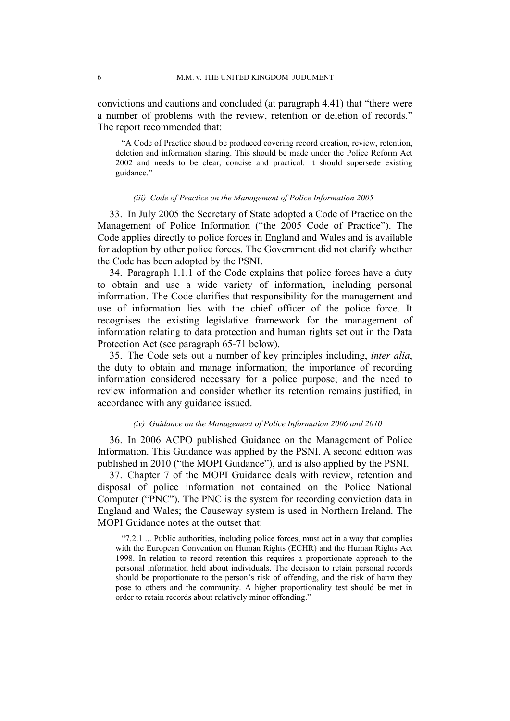convictions and cautions and concluded (at paragraph 4.41) that "there were a number of problems with the review, retention or deletion of records." The report recommended that:

"A Code of Practice should be produced covering record creation, review, retention, deletion and information sharing. This should be made under the Police Reform Act 2002 and needs to be clear, concise and practical. It should supersede existing guidance."

#### *(iii) Code of Practice on the Management of Police Information 2005*

33. In July 2005 the Secretary of State adopted a Code of Practice on the Management of Police Information ("the 2005 Code of Practice"). The Code applies directly to police forces in England and Wales and is available for adoption by other police forces. The Government did not clarify whether the Code has been adopted by the PSNI.

34. Paragraph 1.1.1 of the Code explains that police forces have a duty to obtain and use a wide variety of information, including personal information. The Code clarifies that responsibility for the management and use of information lies with the chief officer of the police force. It recognises the existing legislative framework for the management of information relating to data protection and human rights set out in the Data Protection Act (see paragraph 65-71 below).

35. The Code sets out a number of key principles including, *inter alia*, the duty to obtain and manage information; the importance of recording information considered necessary for a police purpose; and the need to review information and consider whether its retention remains justified, in accordance with any guidance issued.

#### *(iv) Guidance on the Management of Police Information 2006 and 2010*

36. In 2006 ACPO published Guidance on the Management of Police Information. This Guidance was applied by the PSNI. A second edition was published in 2010 ("the MOPI Guidance"), and is also applied by the PSNI.

37. Chapter 7 of the MOPI Guidance deals with review, retention and disposal of police information not contained on the Police National Computer ("PNC"). The PNC is the system for recording conviction data in England and Wales; the Causeway system is used in Northern Ireland. The MOPI Guidance notes at the outset that:

"7.2.1 ... Public authorities, including police forces, must act in a way that complies with the European Convention on Human Rights (ECHR) and the Human Rights Act 1998. In relation to record retention this requires a proportionate approach to the personal information held about individuals. The decision to retain personal records should be proportionate to the person's risk of offending, and the risk of harm they pose to others and the community. A higher proportionality test should be met in order to retain records about relatively minor offending."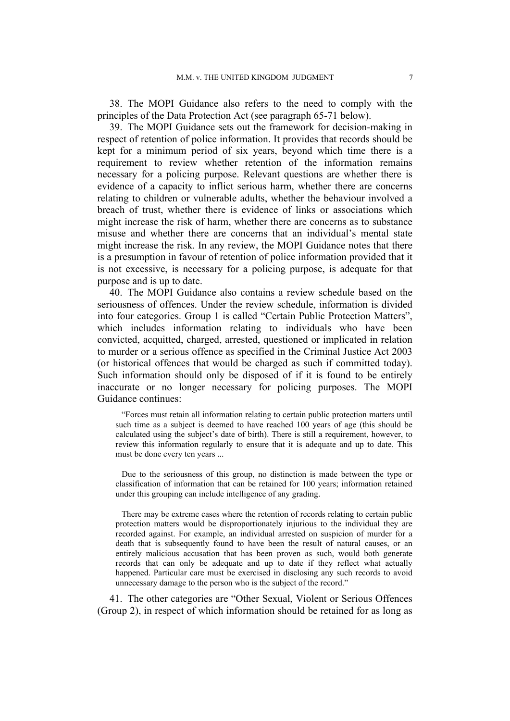38. The MOPI Guidance also refers to the need to comply with the principles of the Data Protection Act (see paragraph 65-71 below).

39. The MOPI Guidance sets out the framework for decision-making in respect of retention of police information. It provides that records should be kept for a minimum period of six years, beyond which time there is a requirement to review whether retention of the information remains necessary for a policing purpose. Relevant questions are whether there is evidence of a capacity to inflict serious harm, whether there are concerns relating to children or vulnerable adults, whether the behaviour involved a breach of trust, whether there is evidence of links or associations which might increase the risk of harm, whether there are concerns as to substance misuse and whether there are concerns that an individual's mental state might increase the risk. In any review, the MOPI Guidance notes that there is a presumption in favour of retention of police information provided that it is not excessive, is necessary for a policing purpose, is adequate for that purpose and is up to date.

40. The MOPI Guidance also contains a review schedule based on the seriousness of offences. Under the review schedule, information is divided into four categories. Group 1 is called "Certain Public Protection Matters", which includes information relating to individuals who have been convicted, acquitted, charged, arrested, questioned or implicated in relation to murder or a serious offence as specified in the Criminal Justice Act 2003 (or historical offences that would be charged as such if committed today). Such information should only be disposed of if it is found to be entirely inaccurate or no longer necessary for policing purposes. The MOPI Guidance continues:

"Forces must retain all information relating to certain public protection matters until such time as a subject is deemed to have reached 100 years of age (this should be calculated using the subject's date of birth). There is still a requirement, however, to review this information regularly to ensure that it is adequate and up to date. This must be done every ten years ...

Due to the seriousness of this group, no distinction is made between the type or classification of information that can be retained for 100 years; information retained under this grouping can include intelligence of any grading.

There may be extreme cases where the retention of records relating to certain public protection matters would be disproportionately injurious to the individual they are recorded against. For example, an individual arrested on suspicion of murder for a death that is subsequently found to have been the result of natural causes, or an entirely malicious accusation that has been proven as such, would both generate records that can only be adequate and up to date if they reflect what actually happened. Particular care must be exercised in disclosing any such records to avoid unnecessary damage to the person who is the subject of the record."

41. The other categories are "Other Sexual, Violent or Serious Offences (Group 2), in respect of which information should be retained for as long as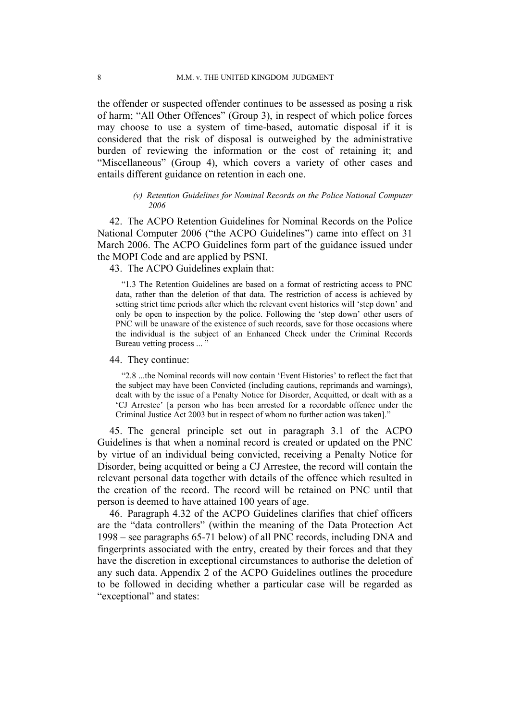the offender or suspected offender continues to be assessed as posing a risk of harm; "All Other Offences" (Group 3), in respect of which police forces may choose to use a system of time-based, automatic disposal if it is considered that the risk of disposal is outweighed by the administrative burden of reviewing the information or the cost of retaining it; and "Miscellaneous" (Group 4), which covers a variety of other cases and entails different guidance on retention in each one.

#### *(v) Retention Guidelines for Nominal Records on the Police National Computer 2006*

42. The ACPO Retention Guidelines for Nominal Records on the Police National Computer 2006 ("the ACPO Guidelines") came into effect on 31 March 2006. The ACPO Guidelines form part of the guidance issued under the MOPI Code and are applied by PSNI.

43. The ACPO Guidelines explain that:

"1.3 The Retention Guidelines are based on a format of restricting access to PNC data, rather than the deletion of that data. The restriction of access is achieved by setting strict time periods after which the relevant event histories will 'step down' and only be open to inspection by the police. Following the 'step down' other users of PNC will be unaware of the existence of such records, save for those occasions where the individual is the subject of an Enhanced Check under the Criminal Records Bureau vetting process ... "

#### 44. They continue:

"2.8 ...the Nominal records will now contain 'Event Histories' to reflect the fact that the subject may have been Convicted (including cautions, reprimands and warnings), dealt with by the issue of a Penalty Notice for Disorder, Acquitted, or dealt with as a 'CJ Arrestee' [a person who has been arrested for a recordable offence under the Criminal Justice Act 2003 but in respect of whom no further action was taken]."

45. The general principle set out in paragraph 3.1 of the ACPO Guidelines is that when a nominal record is created or updated on the PNC by virtue of an individual being convicted, receiving a Penalty Notice for Disorder, being acquitted or being a CJ Arrestee, the record will contain the relevant personal data together with details of the offence which resulted in the creation of the record. The record will be retained on PNC until that person is deemed to have attained 100 years of age.

46. Paragraph 4.32 of the ACPO Guidelines clarifies that chief officers are the "data controllers" (within the meaning of the Data Protection Act 1998 – see paragraphs 65-71 below) of all PNC records, including DNA and fingerprints associated with the entry, created by their forces and that they have the discretion in exceptional circumstances to authorise the deletion of any such data. Appendix 2 of the ACPO Guidelines outlines the procedure to be followed in deciding whether a particular case will be regarded as "exceptional" and states: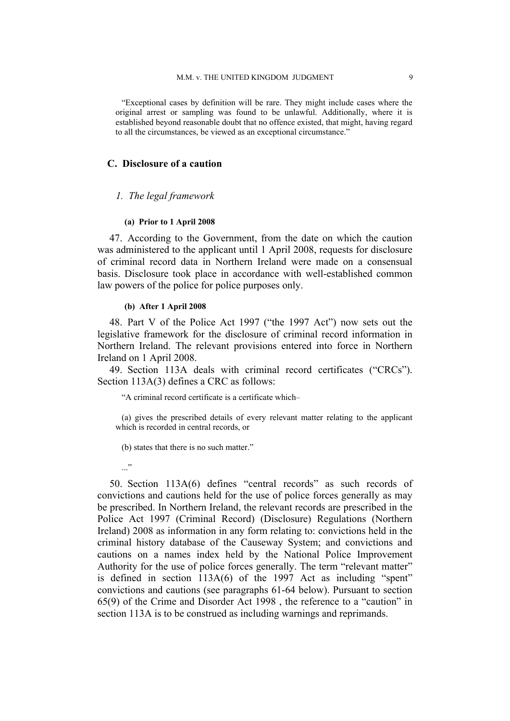"Exceptional cases by definition will be rare. They might include cases where the original arrest or sampling was found to be unlawful. Additionally, where it is established beyond reasonable doubt that no offence existed, that might, having regard to all the circumstances, be viewed as an exceptional circumstance."

## **C. Disclosure of a caution**

#### *1. The legal framework*

#### **(a) Prior to 1 April 2008**

47. According to the Government, from the date on which the caution was administered to the applicant until 1 April 2008, requests for disclosure of criminal record data in Northern Ireland were made on a consensual basis. Disclosure took place in accordance with well-established common law powers of the police for police purposes only.

#### **(b) After 1 April 2008**

48. Part V of the Police Act 1997 ("the 1997 Act") now sets out the legislative framework for the disclosure of criminal record information in Northern Ireland. The relevant provisions entered into force in Northern Ireland on 1 April 2008.

49. Section 113A deals with criminal record certificates ("CRCs"). Section 113A(3) defines a CRC as follows:

"A criminal record certificate is a certificate which–

(a) gives the prescribed details of every relevant matter relating to the applicant which is recorded in central records, or

(b) states that there is no such matter."

..."

50. Section 113A(6) defines "central records" as such records of convictions and cautions held for the use of police forces generally as may be prescribed. In Northern Ireland, the relevant records are prescribed in the Police Act 1997 (Criminal Record) (Disclosure) Regulations (Northern Ireland) 2008 as information in any form relating to: convictions held in the criminal history database of the Causeway System; and convictions and cautions on a names index held by the National Police Improvement Authority for the use of police forces generally. The term "relevant matter" is defined in section 113A(6) of the 1997 Act as including "spent" convictions and cautions (see paragraphs 61-64 below). Pursuant to section 65(9) of the Crime and Disorder Act 1998 , the reference to a "caution" in section 113A is to be construed as including warnings and reprimands.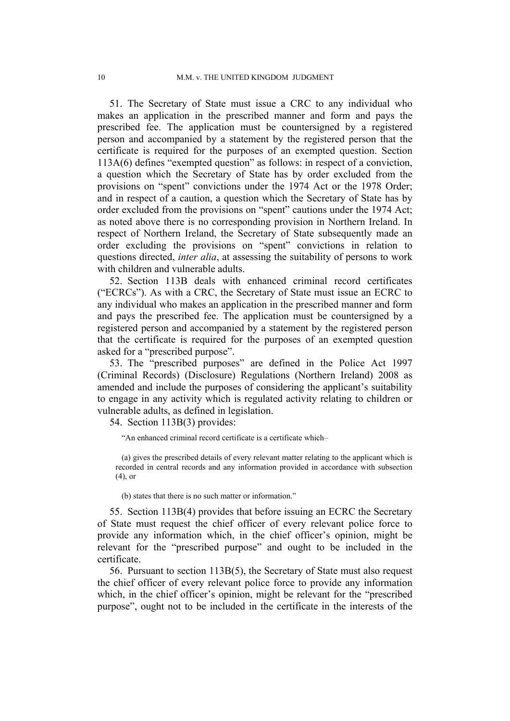51. The Secretary of State must issue a CRC to any individual who makes an application in the prescribed manner and form and pays the prescribed fee. The application must be countersigned by a registered person and accompanied by a statement by the registered person that the certificate is required for the purposes of an exempted question. Section 113A(6) defines "exempted question" as follows: in respect of a conviction, a question which the Secretary of State has by order excluded from the provisions on "spent" convictions under the 1974 Act or the 1978 Order; and in respect of a caution, a question which the Secretary of State has by order excluded from the provisions on "spent" cautions under the 1974 Act; as noted above there is no corresponding provision in Northern Ireland. In respect of Northern Ireland, the Secretary of State subsequently made an order excluding the provisions on "spent" convictions in relation to questions directed, *inter alia*, at assessing the suitability of persons to work with children and vulnerable adults.

52. Section 113B deals with enhanced criminal record certificates ("ECRCs"). As with a CRC, the Secretary of State must issue an ECRC to any individual who makes an application in the prescribed manner and form and pays the prescribed fee. The application must be countersigned by a registered person and accompanied by a statement by the registered person that the certificate is required for the purposes of an exempted question asked for a "prescribed purpose".

53. The "prescribed purposes" are defined in the Police Act 1997 (Criminal Records) (Disclosure) Regulations (Northern Ireland) 2008 as amended and include the purposes of considering the applicant's suitability to engage in any activity which is regulated activity relating to children or vulnerable adults, as defined in legislation.

54. Section 113B(3) provides:

"An enhanced criminal record certificate is a certificate which–

(a) gives the prescribed details of every relevant matter relating to the applicant which is recorded in central records and any information provided in accordance with subsection (4), or

(b) states that there is no such matter or information."

55. Section 113B(4) provides that before issuing an ECRC the Secretary of State must request the chief officer of every relevant police force to provide any information which, in the chief officer's opinion, might be relevant for the "prescribed purpose" and ought to be included in the certificate.

56. Pursuant to section 113B(5), the Secretary of State must also request the chief officer of every relevant police force to provide any information which, in the chief officer's opinion, might be relevant for the "prescribed purpose", ought not to be included in the certificate in the interests of the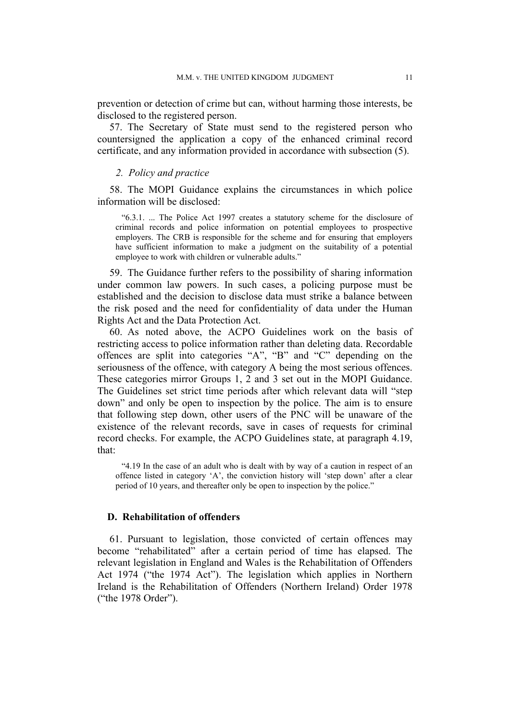prevention or detection of crime but can, without harming those interests, be disclosed to the registered person.

57. The Secretary of State must send to the registered person who countersigned the application a copy of the enhanced criminal record certificate, and any information provided in accordance with subsection (5).

## *2. Policy and practice*

58. The MOPI Guidance explains the circumstances in which police information will be disclosed:

"6.3.1. ... The Police Act 1997 creates a statutory scheme for the disclosure of criminal records and police information on potential employees to prospective employers. The CRB is responsible for the scheme and for ensuring that employers have sufficient information to make a judgment on the suitability of a potential employee to work with children or vulnerable adults."

59. The Guidance further refers to the possibility of sharing information under common law powers. In such cases, a policing purpose must be established and the decision to disclose data must strike a balance between the risk posed and the need for confidentiality of data under the Human Rights Act and the Data Protection Act.

60. As noted above, the ACPO Guidelines work on the basis of restricting access to police information rather than deleting data. Recordable offences are split into categories "A", "B" and "C" depending on the seriousness of the offence, with category A being the most serious offences. These categories mirror Groups 1, 2 and 3 set out in the MOPI Guidance. The Guidelines set strict time periods after which relevant data will "step down" and only be open to inspection by the police. The aim is to ensure that following step down, other users of the PNC will be unaware of the existence of the relevant records, save in cases of requests for criminal record checks. For example, the ACPO Guidelines state, at paragraph 4.19, that:

"4.19 In the case of an adult who is dealt with by way of a caution in respect of an offence listed in category 'A', the conviction history will 'step down' after a clear period of 10 years, and thereafter only be open to inspection by the police."

## **D. Rehabilitation of offenders**

61. Pursuant to legislation, those convicted of certain offences may become "rehabilitated" after a certain period of time has elapsed. The relevant legislation in England and Wales is the Rehabilitation of Offenders Act 1974 ("the 1974 Act"). The legislation which applies in Northern Ireland is the Rehabilitation of Offenders (Northern Ireland) Order 1978 ("the 1978 Order").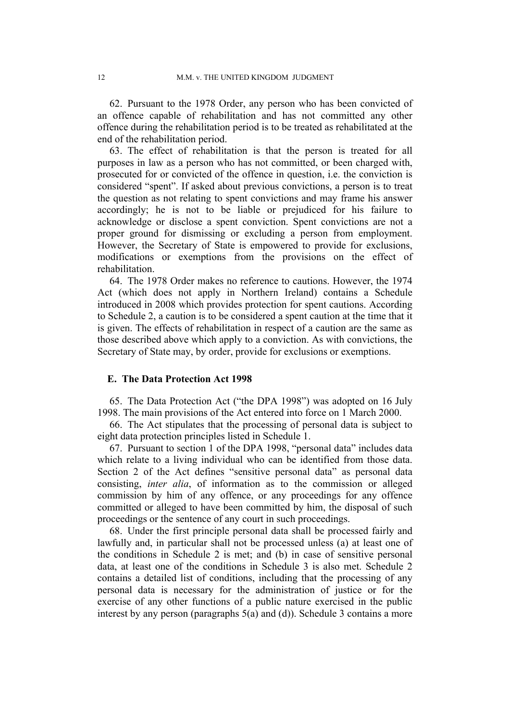62. Pursuant to the 1978 Order, any person who has been convicted of an offence capable of rehabilitation and has not committed any other offence during the rehabilitation period is to be treated as rehabilitated at the end of the rehabilitation period.

63. The effect of rehabilitation is that the person is treated for all purposes in law as a person who has not committed, or been charged with, prosecuted for or convicted of the offence in question, i.e. the conviction is considered "spent". If asked about previous convictions, a person is to treat the question as not relating to spent convictions and may frame his answer accordingly; he is not to be liable or prejudiced for his failure to acknowledge or disclose a spent conviction. Spent convictions are not a proper ground for dismissing or excluding a person from employment. However, the Secretary of State is empowered to provide for exclusions, modifications or exemptions from the provisions on the effect of rehabilitation.

64. The 1978 Order makes no reference to cautions. However, the 1974 Act (which does not apply in Northern Ireland) contains a Schedule introduced in 2008 which provides protection for spent cautions. According to Schedule 2, a caution is to be considered a spent caution at the time that it is given. The effects of rehabilitation in respect of a caution are the same as those described above which apply to a conviction. As with convictions, the Secretary of State may, by order, provide for exclusions or exemptions.

## **E. The Data Protection Act 1998**

65. The Data Protection Act ("the DPA 1998") was adopted on 16 July 1998. The main provisions of the Act entered into force on 1 March 2000.

66. The Act stipulates that the processing of personal data is subject to eight data protection principles listed in Schedule 1.

67. Pursuant to section 1 of the DPA 1998, "personal data" includes data which relate to a living individual who can be identified from those data. Section 2 of the Act defines "sensitive personal data" as personal data consisting, *inter alia*, of information as to the commission or alleged commission by him of any offence, or any proceedings for any offence committed or alleged to have been committed by him, the disposal of such proceedings or the sentence of any court in such proceedings.

68. Under the first principle personal data shall be processed fairly and lawfully and, in particular shall not be processed unless (a) at least one of the conditions in Schedule 2 is met; and (b) in case of sensitive personal data, at least one of the conditions in Schedule 3 is also met. Schedule 2 contains a detailed list of conditions, including that the processing of any personal data is necessary for the administration of justice or for the exercise of any other functions of a public nature exercised in the public interest by any person (paragraphs 5(a) and (d)). Schedule 3 contains a more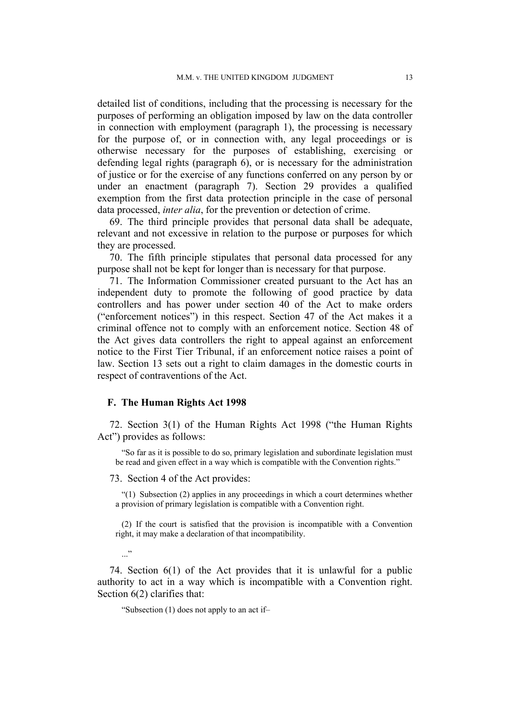detailed list of conditions, including that the processing is necessary for the purposes of performing an obligation imposed by law on the data controller in connection with employment (paragraph 1), the processing is necessary for the purpose of, or in connection with, any legal proceedings or is otherwise necessary for the purposes of establishing, exercising or defending legal rights (paragraph 6), or is necessary for the administration of justice or for the exercise of any functions conferred on any person by or under an enactment (paragraph 7). Section 29 provides a qualified exemption from the first data protection principle in the case of personal data processed, *inter alia*, for the prevention or detection of crime.

69. The third principle provides that personal data shall be adequate, relevant and not excessive in relation to the purpose or purposes for which they are processed.

70. The fifth principle stipulates that personal data processed for any purpose shall not be kept for longer than is necessary for that purpose.

71. The Information Commissioner created pursuant to the Act has an independent duty to promote the following of good practice by data controllers and has power under section 40 of the Act to make orders ("enforcement notices") in this respect. Section 47 of the Act makes it a criminal offence not to comply with an enforcement notice. Section 48 of the Act gives data controllers the right to appeal against an enforcement notice to the First Tier Tribunal, if an enforcement notice raises a point of law. Section 13 sets out a right to claim damages in the domestic courts in respect of contraventions of the Act.

## **F. The Human Rights Act 1998**

72. Section 3(1) of the Human Rights Act 1998 ("the Human Rights Act") provides as follows:

"So far as it is possible to do so, primary legislation and subordinate legislation must be read and given effect in a way which is compatible with the Convention rights."

#### 73. Section 4 of the Act provides:

"(1) Subsection (2) applies in any proceedings in which a court determines whether a provision of primary legislation is compatible with a Convention right.

(2) If the court is satisfied that the provision is incompatible with a Convention right, it may make a declaration of that incompatibility.

 $\ldots$   $\cdot$ 

74. Section 6(1) of the Act provides that it is unlawful for a public authority to act in a way which is incompatible with a Convention right. Section 6(2) clarifies that:

"Subsection (1) does not apply to an act if–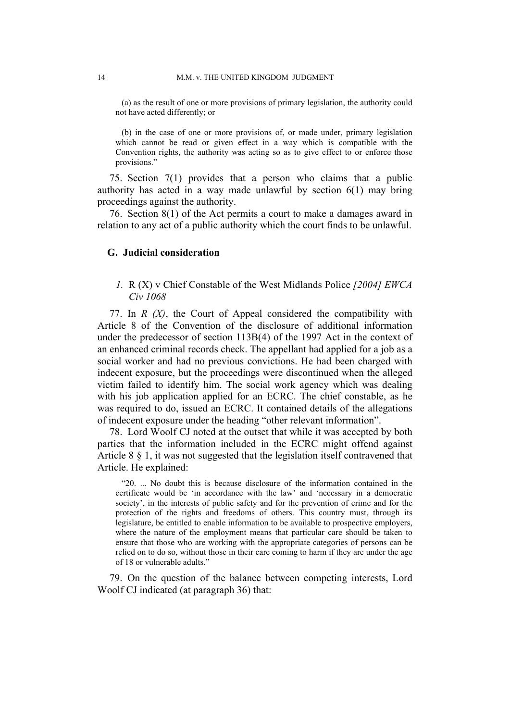(a) as the result of one or more provisions of primary legislation, the authority could not have acted differently; or

(b) in the case of one or more provisions of, or made under, primary legislation which cannot be read or given effect in a way which is compatible with the Convention rights, the authority was acting so as to give effect to or enforce those provisions."

75. Section 7(1) provides that a person who claims that a public authority has acted in a way made unlawful by section 6(1) may bring proceedings against the authority.

76. Section 8(1) of the Act permits a court to make a damages award in relation to any act of a public authority which the court finds to be unlawful.

## **G. Judicial consideration**

*1.* R (X) v Chief Constable of the West Midlands Police *[2004] EWCA Civ 1068*

77. In *R (X)*, the Court of Appeal considered the compatibility with Article 8 of the Convention of the disclosure of additional information under the predecessor of section 113B(4) of the 1997 Act in the context of an enhanced criminal records check. The appellant had applied for a job as a social worker and had no previous convictions. He had been charged with indecent exposure, but the proceedings were discontinued when the alleged victim failed to identify him. The social work agency which was dealing with his job application applied for an ECRC. The chief constable, as he was required to do, issued an ECRC. It contained details of the allegations of indecent exposure under the heading "other relevant information".

78. Lord Woolf CJ noted at the outset that while it was accepted by both parties that the information included in the ECRC might offend against Article 8 § 1, it was not suggested that the legislation itself contravened that Article. He explained:

"20. ... No doubt this is because disclosure of the information contained in the certificate would be 'in accordance with the law' and 'necessary in a democratic society', in the interests of public safety and for the prevention of crime and for the protection of the rights and freedoms of others. This country must, through its legislature, be entitled to enable information to be available to prospective employers, where the nature of the employment means that particular care should be taken to ensure that those who are working with the appropriate categories of persons can be relied on to do so, without those in their care coming to harm if they are under the age of 18 or vulnerable adults."

79. On the question of the balance between competing interests, Lord Woolf CJ indicated (at paragraph 36) that: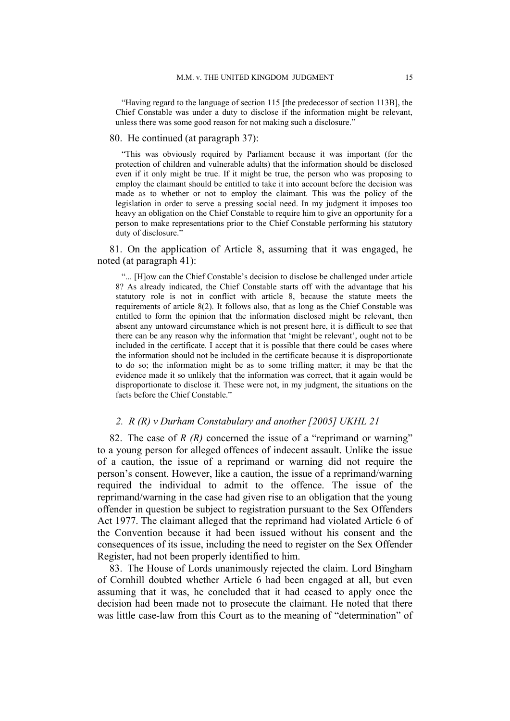"Having regard to the language of section 115 [the predecessor of section 113B], the Chief Constable was under a duty to disclose if the information might be relevant, unless there was some good reason for not making such a disclosure."

## 80. He continued (at paragraph 37):

"This was obviously required by Parliament because it was important (for the protection of children and vulnerable adults) that the information should be disclosed even if it only might be true. If it might be true, the person who was proposing to employ the claimant should be entitled to take it into account before the decision was made as to whether or not to employ the claimant. This was the policy of the legislation in order to serve a pressing social need. In my judgment it imposes too heavy an obligation on the Chief Constable to require him to give an opportunity for a person to make representations prior to the Chief Constable performing his statutory duty of disclosure."

81. On the application of Article 8, assuming that it was engaged, he noted (at paragraph 41):

"... [H]ow can the Chief Constable's decision to disclose be challenged under article 8? As already indicated, the Chief Constable starts off with the advantage that his statutory role is not in conflict with article 8, because the statute meets the requirements of article 8(2). It follows also, that as long as the Chief Constable was entitled to form the opinion that the information disclosed might be relevant, then absent any untoward circumstance which is not present here, it is difficult to see that there can be any reason why the information that 'might be relevant', ought not to be included in the certificate. I accept that it is possible that there could be cases where the information should not be included in the certificate because it is disproportionate to do so; the information might be as to some trifling matter; it may be that the evidence made it so unlikely that the information was correct, that it again would be disproportionate to disclose it. These were not, in my judgment, the situations on the facts before the Chief Constable."

## *2. R (R) v Durham Constabulary and another [2005] UKHL 21*

82. The case of *R (R)* concerned the issue of a "reprimand or warning" to a young person for alleged offences of indecent assault. Unlike the issue of a caution, the issue of a reprimand or warning did not require the person's consent. However, like a caution, the issue of a reprimand/warning required the individual to admit to the offence. The issue of the reprimand/warning in the case had given rise to an obligation that the young offender in question be subject to registration pursuant to the Sex Offenders Act 1977. The claimant alleged that the reprimand had violated Article 6 of the Convention because it had been issued without his consent and the consequences of its issue, including the need to register on the Sex Offender Register, had not been properly identified to him.

83. The House of Lords unanimously rejected the claim. Lord Bingham of Cornhill doubted whether Article 6 had been engaged at all, but even assuming that it was, he concluded that it had ceased to apply once the decision had been made not to prosecute the claimant. He noted that there was little case-law from this Court as to the meaning of "determination" of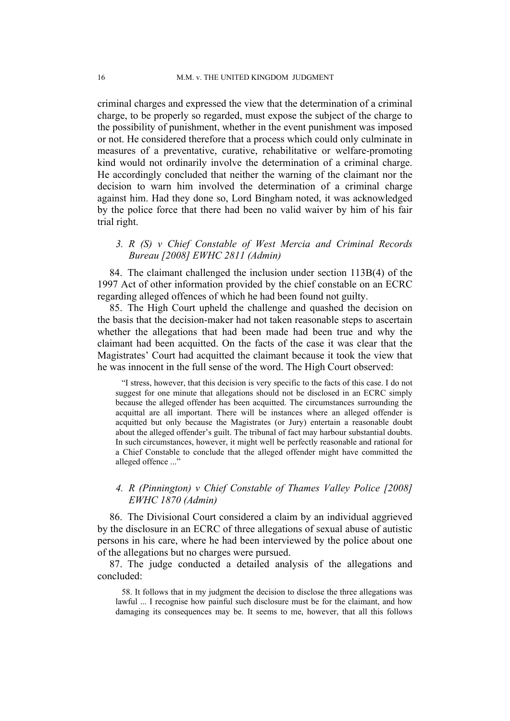criminal charges and expressed the view that the determination of a criminal charge, to be properly so regarded, must expose the subject of the charge to the possibility of punishment, whether in the event punishment was imposed or not. He considered therefore that a process which could only culminate in measures of a preventative, curative, rehabilitative or welfare-promoting kind would not ordinarily involve the determination of a criminal charge. He accordingly concluded that neither the warning of the claimant nor the decision to warn him involved the determination of a criminal charge against him. Had they done so, Lord Bingham noted, it was acknowledged by the police force that there had been no valid waiver by him of his fair trial right.

## *3. R (S) v Chief Constable of West Mercia and Criminal Records Bureau [2008] EWHC 2811 (Admin)*

84. The claimant challenged the inclusion under section 113B(4) of the 1997 Act of other information provided by the chief constable on an ECRC regarding alleged offences of which he had been found not guilty.

85. The High Court upheld the challenge and quashed the decision on the basis that the decision-maker had not taken reasonable steps to ascertain whether the allegations that had been made had been true and why the claimant had been acquitted. On the facts of the case it was clear that the Magistrates' Court had acquitted the claimant because it took the view that he was innocent in the full sense of the word. The High Court observed:

"I stress, however, that this decision is very specific to the facts of this case. I do not suggest for one minute that allegations should not be disclosed in an ECRC simply because the alleged offender has been acquitted. The circumstances surrounding the acquittal are all important. There will be instances where an alleged offender is acquitted but only because the Magistrates (or Jury) entertain a reasonable doubt about the alleged offender's guilt. The tribunal of fact may harbour substantial doubts. In such circumstances, however, it might well be perfectly reasonable and rational for a Chief Constable to conclude that the alleged offender might have committed the alleged offence ..."

## *4. R (Pinnington) v Chief Constable of Thames Valley Police [2008] EWHC 1870 (Admin)*

86. The Divisional Court considered a claim by an individual aggrieved by the disclosure in an ECRC of three allegations of sexual abuse of autistic persons in his care, where he had been interviewed by the police about one of the allegations but no charges were pursued.

87. The judge conducted a detailed analysis of the allegations and concluded:

58. It follows that in my judgment the decision to disclose the three allegations was lawful ... I recognise how painful such disclosure must be for the claimant, and how damaging its consequences may be. It seems to me, however, that all this follows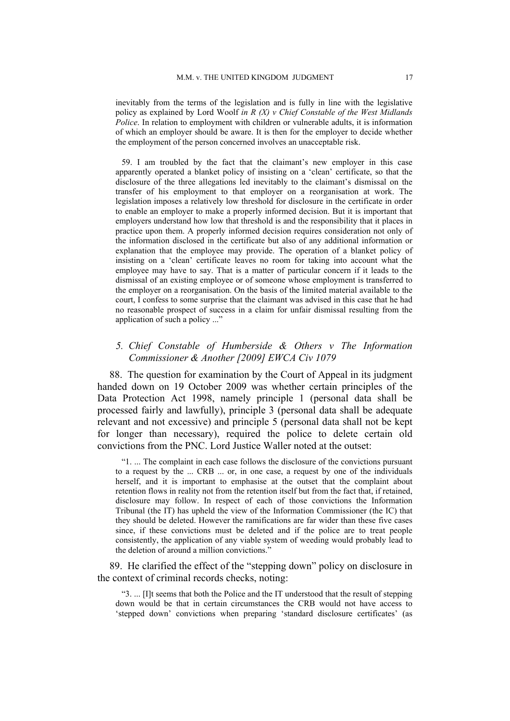inevitably from the terms of the legislation and is fully in line with the legislative policy as explained by Lord Woolf *in R (X) v Chief Constable of the West Midlands Police*. In relation to employment with children or vulnerable adults, it is information of which an employer should be aware. It is then for the employer to decide whether the employment of the person concerned involves an unacceptable risk.

59. I am troubled by the fact that the claimant's new employer in this case apparently operated a blanket policy of insisting on a 'clean' certificate, so that the disclosure of the three allegations led inevitably to the claimant's dismissal on the transfer of his employment to that employer on a reorganisation at work. The legislation imposes a relatively low threshold for disclosure in the certificate in order to enable an employer to make a properly informed decision. But it is important that employers understand how low that threshold is and the responsibility that it places in practice upon them. A properly informed decision requires consideration not only of the information disclosed in the certificate but also of any additional information or explanation that the employee may provide. The operation of a blanket policy of insisting on a 'clean' certificate leaves no room for taking into account what the employee may have to say. That is a matter of particular concern if it leads to the dismissal of an existing employee or of someone whose employment is transferred to the employer on a reorganisation. On the basis of the limited material available to the court, I confess to some surprise that the claimant was advised in this case that he had no reasonable prospect of success in a claim for unfair dismissal resulting from the application of such a policy ..."

## *5. Chief Constable of Humberside & Others v The Information Commissioner & Another [2009] EWCA Civ 1079*

88. The question for examination by the Court of Appeal in its judgment handed down on 19 October 2009 was whether certain principles of the Data Protection Act 1998, namely principle 1 (personal data shall be processed fairly and lawfully), principle 3 (personal data shall be adequate relevant and not excessive) and principle 5 (personal data shall not be kept for longer than necessary), required the police to delete certain old convictions from the PNC. Lord Justice Waller noted at the outset:

"1. ... The complaint in each case follows the disclosure of the convictions pursuant to a request by the ... CRB ... or, in one case, a request by one of the individuals herself, and it is important to emphasise at the outset that the complaint about retention flows in reality not from the retention itself but from the fact that, if retained, disclosure may follow. In respect of each of those convictions the Information Tribunal (the IT) has upheld the view of the Information Commissioner (the IC) that they should be deleted. However the ramifications are far wider than these five cases since, if these convictions must be deleted and if the police are to treat people consistently, the application of any viable system of weeding would probably lead to the deletion of around a million convictions."

89. He clarified the effect of the "stepping down" policy on disclosure in the context of criminal records checks, noting:

"3. ... [I]t seems that both the Police and the IT understood that the result of stepping down would be that in certain circumstances the CRB would not have access to 'stepped down' convictions when preparing 'standard disclosure certificates' (as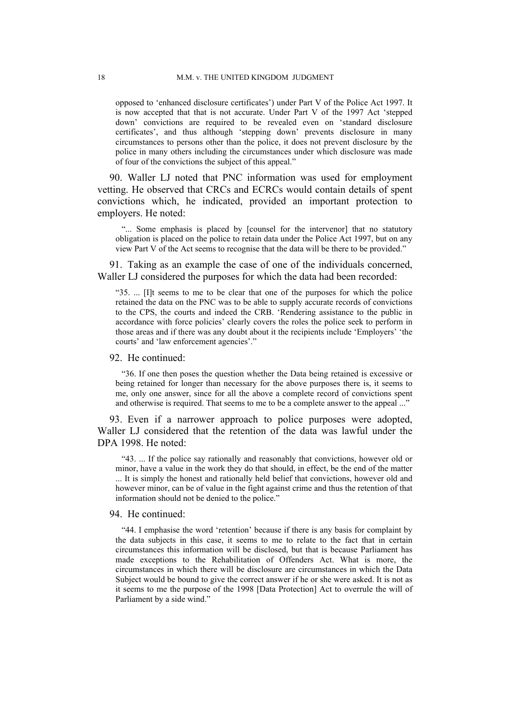opposed to 'enhanced disclosure certificates') under Part V of the Police Act 1997. It is now accepted that that is not accurate. Under Part V of the 1997 Act 'stepped down' convictions are required to be revealed even on 'standard disclosure certificates', and thus although 'stepping down' prevents disclosure in many circumstances to persons other than the police, it does not prevent disclosure by the police in many others including the circumstances under which disclosure was made of four of the convictions the subject of this appeal."

90. Waller LJ noted that PNC information was used for employment vetting. He observed that CRCs and ECRCs would contain details of spent convictions which, he indicated, provided an important protection to employers. He noted:

"... Some emphasis is placed by [counsel for the intervenor] that no statutory obligation is placed on the police to retain data under the Police Act 1997, but on any view Part V of the Act seems to recognise that the data will be there to be provided."

91. Taking as an example the case of one of the individuals concerned, Waller LJ considered the purposes for which the data had been recorded:

"35. ... [I]t seems to me to be clear that one of the purposes for which the police retained the data on the PNC was to be able to supply accurate records of convictions to the CPS, the courts and indeed the CRB. 'Rendering assistance to the public in accordance with force policies' clearly covers the roles the police seek to perform in those areas and if there was any doubt about it the recipients include 'Employers' 'the courts' and 'law enforcement agencies'."

#### 92. He continued:

"36. If one then poses the question whether the Data being retained is excessive or being retained for longer than necessary for the above purposes there is, it seems to me, only one answer, since for all the above a complete record of convictions spent and otherwise is required. That seems to me to be a complete answer to the appeal ..."

93. Even if a narrower approach to police purposes were adopted, Waller LJ considered that the retention of the data was lawful under the DPA 1998. He noted:

"43. ... If the police say rationally and reasonably that convictions, however old or minor, have a value in the work they do that should, in effect, be the end of the matter ... It is simply the honest and rationally held belief that convictions, however old and however minor, can be of value in the fight against crime and thus the retention of that information should not be denied to the police."

#### 94. He continued:

"44. I emphasise the word 'retention' because if there is any basis for complaint by the data subjects in this case, it seems to me to relate to the fact that in certain circumstances this information will be disclosed, but that is because Parliament has made exceptions to the Rehabilitation of Offenders Act. What is more, the circumstances in which there will be disclosure are circumstances in which the Data Subject would be bound to give the correct answer if he or she were asked. It is not as it seems to me the purpose of the 1998 [Data Protection] Act to overrule the will of Parliament by a side wind."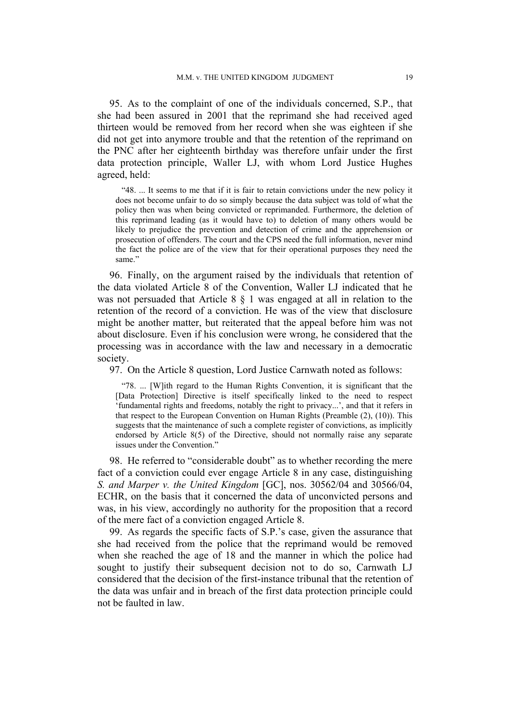95. As to the complaint of one of the individuals concerned, S.P., that she had been assured in 2001 that the reprimand she had received aged thirteen would be removed from her record when she was eighteen if she did not get into anymore trouble and that the retention of the reprimand on the PNC after her eighteenth birthday was therefore unfair under the first data protection principle, Waller LJ, with whom Lord Justice Hughes agreed, held:

"48. ... It seems to me that if it is fair to retain convictions under the new policy it does not become unfair to do so simply because the data subject was told of what the policy then was when being convicted or reprimanded. Furthermore, the deletion of this reprimand leading (as it would have to) to deletion of many others would be likely to prejudice the prevention and detection of crime and the apprehension or prosecution of offenders. The court and the CPS need the full information, never mind the fact the police are of the view that for their operational purposes they need the same"

96. Finally, on the argument raised by the individuals that retention of the data violated Article 8 of the Convention, Waller LJ indicated that he was not persuaded that Article 8 § 1 was engaged at all in relation to the retention of the record of a conviction. He was of the view that disclosure might be another matter, but reiterated that the appeal before him was not about disclosure. Even if his conclusion were wrong, he considered that the processing was in accordance with the law and necessary in a democratic society.

97. On the Article 8 question, Lord Justice Carnwath noted as follows:

"78. ... [W]ith regard to the Human Rights Convention, it is significant that the [Data Protection] Directive is itself specifically linked to the need to respect 'fundamental rights and freedoms, notably the right to privacy...', and that it refers in that respect to the European Convention on Human Rights (Preamble (2), (10)). This suggests that the maintenance of such a complete register of convictions, as implicitly endorsed by Article 8(5) of the Directive, should not normally raise any separate issues under the Convention."

98. He referred to "considerable doubt" as to whether recording the mere fact of a conviction could ever engage Article 8 in any case, distinguishing *S. and Marper v. the United Kingdom* [GC], nos. 30562/04 and 30566/04, ECHR, on the basis that it concerned the data of unconvicted persons and was, in his view, accordingly no authority for the proposition that a record of the mere fact of a conviction engaged Article 8.

99. As regards the specific facts of S.P.'s case, given the assurance that she had received from the police that the reprimand would be removed when she reached the age of 18 and the manner in which the police had sought to justify their subsequent decision not to do so, Carnwath LJ considered that the decision of the first-instance tribunal that the retention of the data was unfair and in breach of the first data protection principle could not be faulted in law.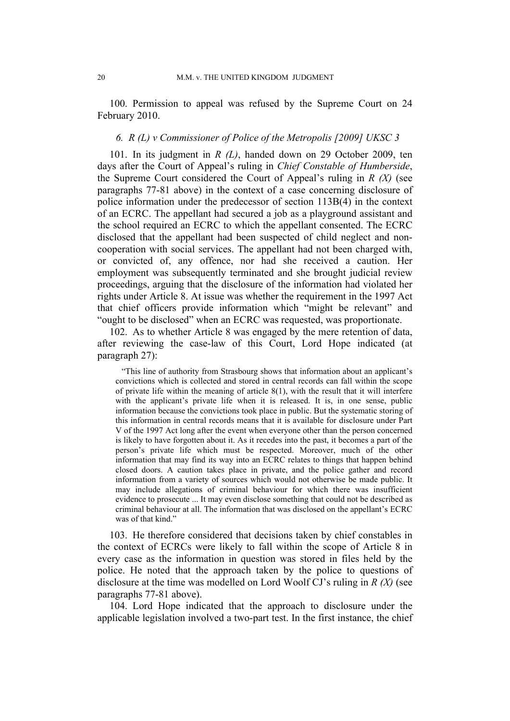100. Permission to appeal was refused by the Supreme Court on 24 February 2010.

## *6. R (L) v Commissioner of Police of the Metropolis [2009] UKSC 3*

101. In its judgment in *R (L)*, handed down on 29 October 2009, ten days after the Court of Appeal's ruling in *Chief Constable of Humberside*, the Supreme Court considered the Court of Appeal's ruling in *R (X)* (see paragraphs 77-81 above) in the context of a case concerning disclosure of police information under the predecessor of section 113B(4) in the context of an ECRC. The appellant had secured a job as a playground assistant and the school required an ECRC to which the appellant consented. The ECRC disclosed that the appellant had been suspected of child neglect and noncooperation with social services. The appellant had not been charged with, or convicted of, any offence, nor had she received a caution. Her employment was subsequently terminated and she brought judicial review proceedings, arguing that the disclosure of the information had violated her rights under Article 8. At issue was whether the requirement in the 1997 Act that chief officers provide information which "might be relevant" and "ought to be disclosed" when an ECRC was requested, was proportionate.

102. As to whether Article 8 was engaged by the mere retention of data, after reviewing the case-law of this Court, Lord Hope indicated (at paragraph 27):

"This line of authority from Strasbourg shows that information about an applicant's convictions which is collected and stored in central records can fall within the scope of private life within the meaning of article 8(1), with the result that it will interfere with the applicant's private life when it is released. It is, in one sense, public information because the convictions took place in public. But the systematic storing of this information in central records means that it is available for disclosure under Part V of the 1997 Act long after the event when everyone other than the person concerned is likely to have forgotten about it. As it recedes into the past, it becomes a part of the person's private life which must be respected. Moreover, much of the other information that may find its way into an ECRC relates to things that happen behind closed doors. A caution takes place in private, and the police gather and record information from a variety of sources which would not otherwise be made public. It may include allegations of criminal behaviour for which there was insufficient evidence to prosecute ... It may even disclose something that could not be described as criminal behaviour at all. The information that was disclosed on the appellant's ECRC was of that kind."

103. He therefore considered that decisions taken by chief constables in the context of ECRCs were likely to fall within the scope of Article 8 in every case as the information in question was stored in files held by the police. He noted that the approach taken by the police to questions of disclosure at the time was modelled on Lord Woolf CJ's ruling in *R (X)* (see paragraphs 77-81 above).

104. Lord Hope indicated that the approach to disclosure under the applicable legislation involved a two-part test. In the first instance, the chief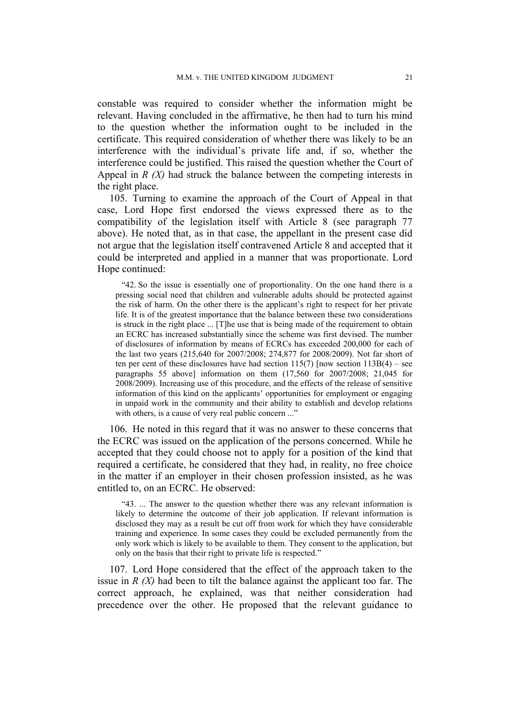constable was required to consider whether the information might be relevant. Having concluded in the affirmative, he then had to turn his mind to the question whether the information ought to be included in the certificate. This required consideration of whether there was likely to be an interference with the individual's private life and, if so, whether the interference could be justified. This raised the question whether the Court of Appeal in *R (X)* had struck the balance between the competing interests in the right place.

105. Turning to examine the approach of the Court of Appeal in that case, Lord Hope first endorsed the views expressed there as to the compatibility of the legislation itself with Article 8 (see paragraph 77 above). He noted that, as in that case, the appellant in the present case did not argue that the legislation itself contravened Article 8 and accepted that it could be interpreted and applied in a manner that was proportionate. Lord Hope continued:

"42. So the issue is essentially one of proportionality. On the one hand there is a pressing social need that children and vulnerable adults should be protected against the risk of harm. On the other there is the applicant's right to respect for her private life. It is of the greatest importance that the balance between these two considerations is struck in the right place ... [T]he use that is being made of the requirement to obtain an ECRC has increased substantially since the scheme was first devised. The number of disclosures of information by means of ECRCs has exceeded 200,000 for each of the last two years (215,640 for 2007/2008; 274,877 for 2008/2009). Not far short of ten per cent of these disclosures have had section  $115(7)$  [now section  $113B(4)$  – see paragraphs 55 above] information on them (17,560 for 2007/2008; 21,045 for 2008/2009). Increasing use of this procedure, and the effects of the release of sensitive information of this kind on the applicants' opportunities for employment or engaging in unpaid work in the community and their ability to establish and develop relations with others, is a cause of very real public concern ..."

106. He noted in this regard that it was no answer to these concerns that the ECRC was issued on the application of the persons concerned. While he accepted that they could choose not to apply for a position of the kind that required a certificate, he considered that they had, in reality, no free choice in the matter if an employer in their chosen profession insisted, as he was entitled to, on an ECRC. He observed:

"43. ... The answer to the question whether there was any relevant information is likely to determine the outcome of their job application. If relevant information is disclosed they may as a result be cut off from work for which they have considerable training and experience. In some cases they could be excluded permanently from the only work which is likely to be available to them. They consent to the application, but only on the basis that their right to private life is respected."

107. Lord Hope considered that the effect of the approach taken to the issue in *R (X)* had been to tilt the balance against the applicant too far. The correct approach, he explained, was that neither consideration had precedence over the other. He proposed that the relevant guidance to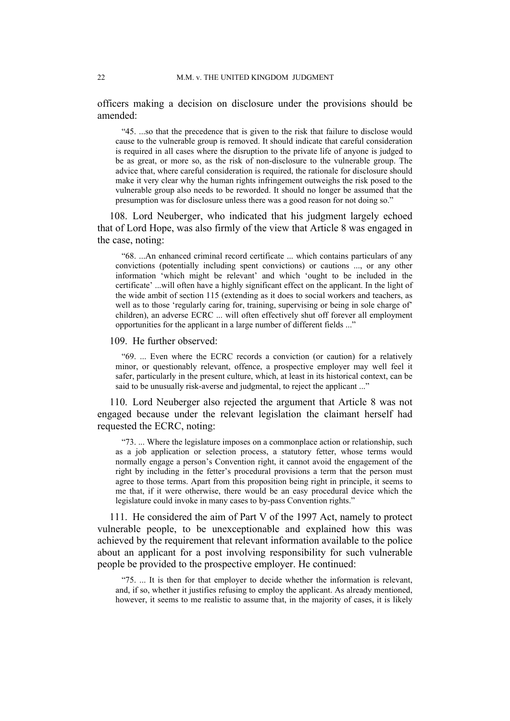officers making a decision on disclosure under the provisions should be amended:

"45. ...so that the precedence that is given to the risk that failure to disclose would cause to the vulnerable group is removed. It should indicate that careful consideration is required in all cases where the disruption to the private life of anyone is judged to be as great, or more so, as the risk of non-disclosure to the vulnerable group. The advice that, where careful consideration is required, the rationale for disclosure should make it very clear why the human rights infringement outweighs the risk posed to the vulnerable group also needs to be reworded. It should no longer be assumed that the presumption was for disclosure unless there was a good reason for not doing so."

108. Lord Neuberger, who indicated that his judgment largely echoed that of Lord Hope, was also firmly of the view that Article 8 was engaged in the case, noting:

"68. ...An enhanced criminal record certificate ... which contains particulars of any convictions (potentially including spent convictions) or cautions ..., or any other information 'which might be relevant' and which 'ought to be included in the certificate' ...will often have a highly significant effect on the applicant. In the light of the wide ambit of section 115 (extending as it does to social workers and teachers, as well as to those 'regularly caring for, training, supervising or being in sole charge of children), an adverse ECRC ... will often effectively shut off forever all employment opportunities for the applicant in a large number of different fields ..."

109. He further observed:

"69. ... Even where the ECRC records a conviction (or caution) for a relatively minor, or questionably relevant, offence, a prospective employer may well feel it safer, particularly in the present culture, which, at least in its historical context, can be said to be unusually risk-averse and judgmental, to reject the applicant ..."

110. Lord Neuberger also rejected the argument that Article 8 was not engaged because under the relevant legislation the claimant herself had requested the ECRC, noting:

"73. ... Where the legislature imposes on a commonplace action or relationship, such as a job application or selection process, a statutory fetter, whose terms would normally engage a person's Convention right, it cannot avoid the engagement of the right by including in the fetter's procedural provisions a term that the person must agree to those terms. Apart from this proposition being right in principle, it seems to me that, if it were otherwise, there would be an easy procedural device which the legislature could invoke in many cases to by-pass Convention rights."

111. He considered the aim of Part V of the 1997 Act, namely to protect vulnerable people, to be unexceptionable and explained how this was achieved by the requirement that relevant information available to the police about an applicant for a post involving responsibility for such vulnerable people be provided to the prospective employer. He continued:

"75. ... It is then for that employer to decide whether the information is relevant, and, if so, whether it justifies refusing to employ the applicant. As already mentioned, however, it seems to me realistic to assume that, in the majority of cases, it is likely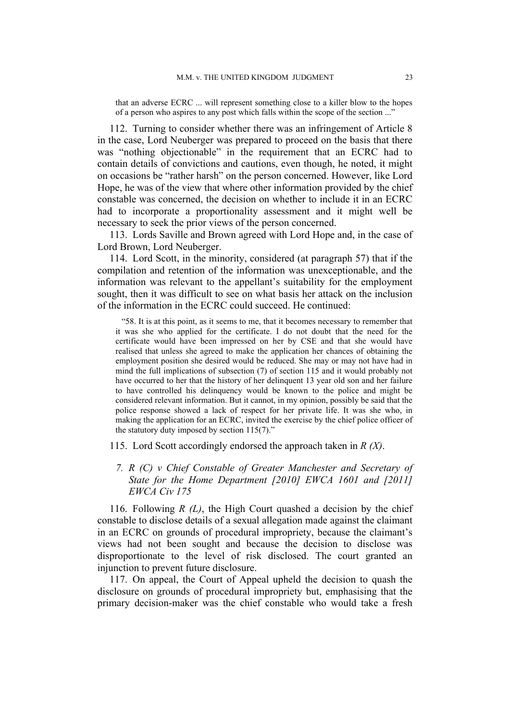that an adverse ECRC ... will represent something close to a killer blow to the hopes of a person who aspires to any post which falls within the scope of the section ..."

112. Turning to consider whether there was an infringement of Article 8 in the case, Lord Neuberger was prepared to proceed on the basis that there was "nothing objectionable" in the requirement that an ECRC had to contain details of convictions and cautions, even though, he noted, it might on occasions be "rather harsh" on the person concerned. However, like Lord Hope, he was of the view that where other information provided by the chief constable was concerned, the decision on whether to include it in an ECRC had to incorporate a proportionality assessment and it might well be necessary to seek the prior views of the person concerned.

113. Lords Saville and Brown agreed with Lord Hope and, in the case of Lord Brown, Lord Neuberger.

114. Lord Scott, in the minority, considered (at paragraph 57) that if the compilation and retention of the information was unexceptionable, and the information was relevant to the appellant's suitability for the employment sought, then it was difficult to see on what basis her attack on the inclusion of the information in the ECRC could succeed. He continued:

"58. It is at this point, as it seems to me, that it becomes necessary to remember that it was she who applied for the certificate. I do not doubt that the need for the certificate would have been impressed on her by CSE and that she would have realised that unless she agreed to make the application her chances of obtaining the employment position she desired would be reduced. She may or may not have had in mind the full implications of subsection (7) of section 115 and it would probably not have occurred to her that the history of her delinquent 13 year old son and her failure to have controlled his delinquency would be known to the police and might be considered relevant information. But it cannot, in my opinion, possibly be said that the police response showed a lack of respect for her private life. It was she who, in making the application for an ECRC, invited the exercise by the chief police officer of the statutory duty imposed by section 115(7)."

115. Lord Scott accordingly endorsed the approach taken in *R (X)*.

## *7. R (C) v Chief Constable of Greater Manchester and Secretary of State for the Home Department [2010] EWCA 1601 and [2011] EWCA Civ 175*

116. Following *R (L)*, the High Court quashed a decision by the chief constable to disclose details of a sexual allegation made against the claimant in an ECRC on grounds of procedural impropriety, because the claimant's views had not been sought and because the decision to disclose was disproportionate to the level of risk disclosed. The court granted an injunction to prevent future disclosure.

117. On appeal, the Court of Appeal upheld the decision to quash the disclosure on grounds of procedural impropriety but, emphasising that the primary decision-maker was the chief constable who would take a fresh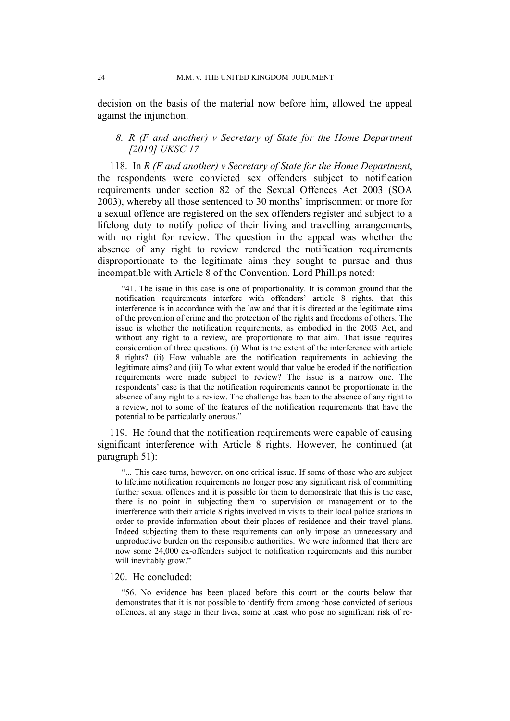decision on the basis of the material now before him, allowed the appeal against the injunction.

## *8. R (F and another) v Secretary of State for the Home Department [2010] UKSC 17*

118. In *R (F and another) v Secretary of State for the Home Department*, the respondents were convicted sex offenders subject to notification requirements under section 82 of the Sexual Offences Act 2003 (SOA 2003), whereby all those sentenced to 30 months' imprisonment or more for a sexual offence are registered on the sex offenders register and subject to a lifelong duty to notify police of their living and travelling arrangements, with no right for review. The question in the appeal was whether the absence of any right to review rendered the notification requirements disproportionate to the legitimate aims they sought to pursue and thus incompatible with Article 8 of the Convention. Lord Phillips noted:

"41. The issue in this case is one of proportionality. It is common ground that the notification requirements interfere with offenders' article 8 rights, that this interference is in accordance with the law and that it is directed at the legitimate aims of the prevention of crime and the protection of the rights and freedoms of others. The issue is whether the notification requirements, as embodied in the 2003 Act, and without any right to a review, are proportionate to that aim. That issue requires consideration of three questions. (i) What is the extent of the interference with article 8 rights? (ii) How valuable are the notification requirements in achieving the legitimate aims? and (iii) To what extent would that value be eroded if the notification requirements were made subject to review? The issue is a narrow one. The respondents' case is that the notification requirements cannot be proportionate in the absence of any right to a review. The challenge has been to the absence of any right to a review, not to some of the features of the notification requirements that have the potential to be particularly onerous."

119. He found that the notification requirements were capable of causing significant interference with Article 8 rights. However, he continued (at paragraph 51):

"... This case turns, however, on one critical issue. If some of those who are subject to lifetime notification requirements no longer pose any significant risk of committing further sexual offences and it is possible for them to demonstrate that this is the case, there is no point in subjecting them to supervision or management or to the interference with their article 8 rights involved in visits to their local police stations in order to provide information about their places of residence and their travel plans. Indeed subjecting them to these requirements can only impose an unnecessary and unproductive burden on the responsible authorities. We were informed that there are now some 24,000 ex-offenders subject to notification requirements and this number will inevitably grow."

## 120. He concluded:

"56. No evidence has been placed before this court or the courts below that demonstrates that it is not possible to identify from among those convicted of serious offences, at any stage in their lives, some at least who pose no significant risk of re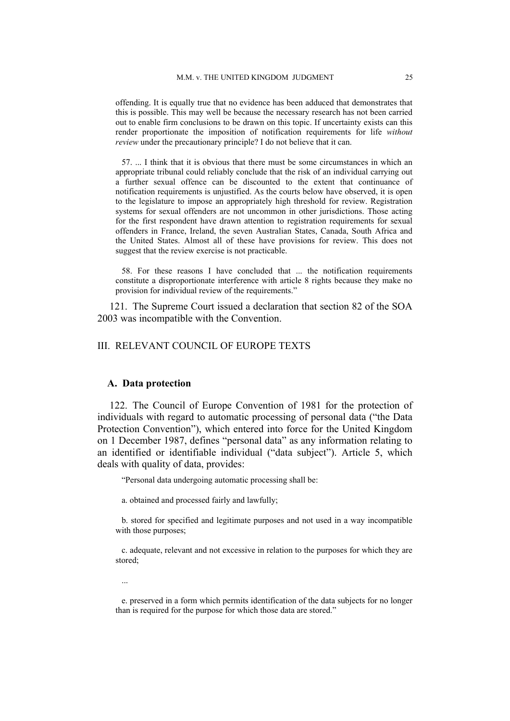offending. It is equally true that no evidence has been adduced that demonstrates that this is possible. This may well be because the necessary research has not been carried out to enable firm conclusions to be drawn on this topic. If uncertainty exists can this render proportionate the imposition of notification requirements for life *without review* under the precautionary principle? I do not believe that it can.

57. ... I think that it is obvious that there must be some circumstances in which an appropriate tribunal could reliably conclude that the risk of an individual carrying out a further sexual offence can be discounted to the extent that continuance of notification requirements is unjustified. As the courts below have observed, it is open to the legislature to impose an appropriately high threshold for review. Registration systems for sexual offenders are not uncommon in other jurisdictions. Those acting for the first respondent have drawn attention to registration requirements for sexual offenders in France, Ireland, the seven Australian States, Canada, South Africa and the United States. Almost all of these have provisions for review. This does not suggest that the review exercise is not practicable.

58. For these reasons I have concluded that ... the notification requirements constitute a disproportionate interference with article 8 rights because they make no provision for individual review of the requirements."

121. The Supreme Court issued a declaration that section 82 of the SOA 2003 was incompatible with the Convention.

## III. RELEVANT COUNCIL OF EUROPE TEXTS

#### **A. Data protection**

122. The Council of Europe Convention of 1981 for the protection of individuals with regard to automatic processing of personal data ("the Data Protection Convention"), which entered into force for the United Kingdom on 1 December 1987, defines "personal data" as any information relating to an identified or identifiable individual ("data subject"). Article 5, which deals with quality of data, provides:

"Personal data undergoing automatic processing shall be:

a. obtained and processed fairly and lawfully;

b. stored for specified and legitimate purposes and not used in a way incompatible with those purposes;

c. adequate, relevant and not excessive in relation to the purposes for which they are stored;

...

e. preserved in a form which permits identification of the data subjects for no longer than is required for the purpose for which those data are stored."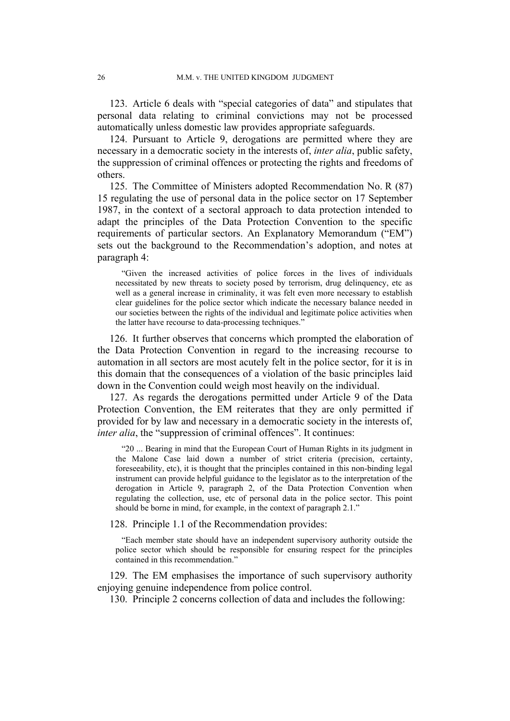123. Article 6 deals with "special categories of data" and stipulates that personal data relating to criminal convictions may not be processed automatically unless domestic law provides appropriate safeguards.

124. Pursuant to Article 9, derogations are permitted where they are necessary in a democratic society in the interests of, *inter alia*, public safety, the suppression of criminal offences or protecting the rights and freedoms of others.

125. The Committee of Ministers adopted Recommendation No. R (87) 15 regulating the use of personal data in the police sector on 17 September 1987, in the context of a sectoral approach to data protection intended to adapt the principles of the Data Protection Convention to the specific requirements of particular sectors. An Explanatory Memorandum ("EM") sets out the background to the Recommendation's adoption, and notes at paragraph 4:

"Given the increased activities of police forces in the lives of individuals necessitated by new threats to society posed by terrorism, drug delinquency, etc as well as a general increase in criminality, it was felt even more necessary to establish clear guidelines for the police sector which indicate the necessary balance needed in our societies between the rights of the individual and legitimate police activities when the latter have recourse to data-processing techniques."

126. It further observes that concerns which prompted the elaboration of the Data Protection Convention in regard to the increasing recourse to automation in all sectors are most acutely felt in the police sector, for it is in this domain that the consequences of a violation of the basic principles laid down in the Convention could weigh most heavily on the individual.

127. As regards the derogations permitted under Article 9 of the Data Protection Convention, the EM reiterates that they are only permitted if provided for by law and necessary in a democratic society in the interests of, *inter alia*, the "suppression of criminal offences". It continues:

"20 ... Bearing in mind that the European Court of Human Rights in its judgment in the Malone Case laid down a number of strict criteria (precision, certainty, foreseeability, etc), it is thought that the principles contained in this non-binding legal instrument can provide helpful guidance to the legislator as to the interpretation of the derogation in Article 9, paragraph 2, of the Data Protection Convention when regulating the collection, use, etc of personal data in the police sector. This point should be borne in mind, for example, in the context of paragraph 2.1."

128. Principle 1.1 of the Recommendation provides:

"Each member state should have an independent supervisory authority outside the police sector which should be responsible for ensuring respect for the principles contained in this recommendation."

129. The EM emphasises the importance of such supervisory authority enjoying genuine independence from police control.

130. Principle 2 concerns collection of data and includes the following: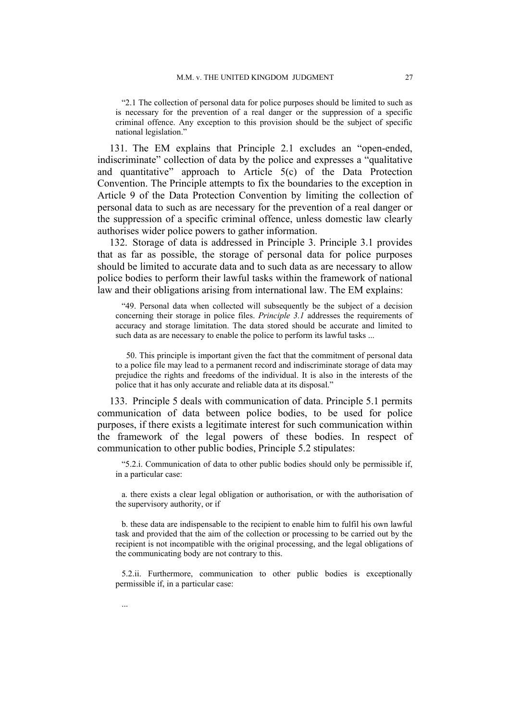"2.1 The collection of personal data for police purposes should be limited to such as is necessary for the prevention of a real danger or the suppression of a specific criminal offence. Any exception to this provision should be the subject of specific national legislation."

131. The EM explains that Principle 2.1 excludes an "open-ended, indiscriminate" collection of data by the police and expresses a "qualitative and quantitative" approach to Article 5(c) of the Data Protection Convention. The Principle attempts to fix the boundaries to the exception in Article 9 of the Data Protection Convention by limiting the collection of personal data to such as are necessary for the prevention of a real danger or the suppression of a specific criminal offence, unless domestic law clearly authorises wider police powers to gather information.

132. Storage of data is addressed in Principle 3. Principle 3.1 provides that as far as possible, the storage of personal data for police purposes should be limited to accurate data and to such data as are necessary to allow police bodies to perform their lawful tasks within the framework of national law and their obligations arising from international law. The EM explains:

"49. Personal data when collected will subsequently be the subject of a decision concerning their storage in police files. *Principle 3.1* addresses the requirements of accuracy and storage limitation. The data stored should be accurate and limited to such data as are necessary to enable the police to perform its lawful tasks ...

 50. This principle is important given the fact that the commitment of personal data to a police file may lead to a permanent record and indiscriminate storage of data may prejudice the rights and freedoms of the individual. It is also in the interests of the police that it has only accurate and reliable data at its disposal."

133. Principle 5 deals with communication of data. Principle 5.1 permits communication of data between police bodies, to be used for police purposes, if there exists a legitimate interest for such communication within the framework of the legal powers of these bodies. In respect of communication to other public bodies, Principle 5.2 stipulates:

"5.2.i. Communication of data to other public bodies should only be permissible if, in a particular case:

a. there exists a clear legal obligation or authorisation, or with the authorisation of the supervisory authority, or if

b. these data are indispensable to the recipient to enable him to fulfil his own lawful task and provided that the aim of the collection or processing to be carried out by the recipient is not incompatible with the original processing, and the legal obligations of the communicating body are not contrary to this.

5.2.ii. Furthermore, communication to other public bodies is exceptionally permissible if, in a particular case: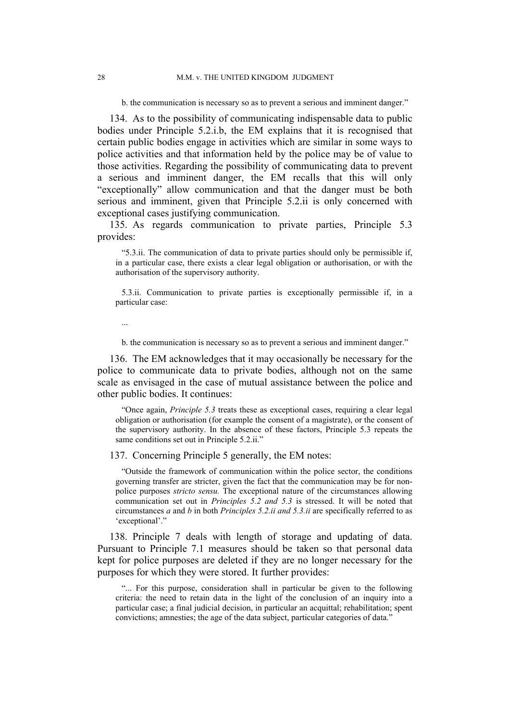b. the communication is necessary so as to prevent a serious and imminent danger."

134. As to the possibility of communicating indispensable data to public bodies under Principle 5.2.i.b, the EM explains that it is recognised that certain public bodies engage in activities which are similar in some ways to police activities and that information held by the police may be of value to those activities. Regarding the possibility of communicating data to prevent a serious and imminent danger, the EM recalls that this will only "exceptionally" allow communication and that the danger must be both serious and imminent, given that Principle 5.2.ii is only concerned with exceptional cases justifying communication.

135. As regards communication to private parties, Principle 5.3 provides:

"5.3.ii. The communication of data to private parties should only be permissible if, in a particular case, there exists a clear legal obligation or authorisation, or with the authorisation of the supervisory authority.

5.3.ii. Communication to private parties is exceptionally permissible if, in a particular case:

...

b. the communication is necessary so as to prevent a serious and imminent danger."

136. The EM acknowledges that it may occasionally be necessary for the police to communicate data to private bodies, although not on the same scale as envisaged in the case of mutual assistance between the police and other public bodies. It continues:

"Once again, *Principle 5.3* treats these as exceptional cases, requiring a clear legal obligation or authorisation (for example the consent of a magistrate), or the consent of the supervisory authority. In the absence of these factors, Principle 5.3 repeats the same conditions set out in Principle 5.2.ii."

137. Concerning Principle 5 generally, the EM notes:

"Outside the framework of communication within the police sector, the conditions governing transfer are stricter, given the fact that the communication may be for nonpolice purposes *stricto sensu.* The exceptional nature of the circumstances allowing communication set out in *Principles 5.2 and 5.3* is stressed. It will be noted that circumstances *a* and *b* in both *Principles 5.2.ii and 5.3.ii* are specifically referred to as 'exceptional'."

138. Principle 7 deals with length of storage and updating of data. Pursuant to Principle 7.1 measures should be taken so that personal data kept for police purposes are deleted if they are no longer necessary for the purposes for which they were stored. It further provides:

"... For this purpose, consideration shall in particular be given to the following criteria: the need to retain data in the light of the conclusion of an inquiry into a particular case; a final judicial decision, in particular an acquittal; rehabilitation; spent convictions; amnesties; the age of the data subject, particular categories of data."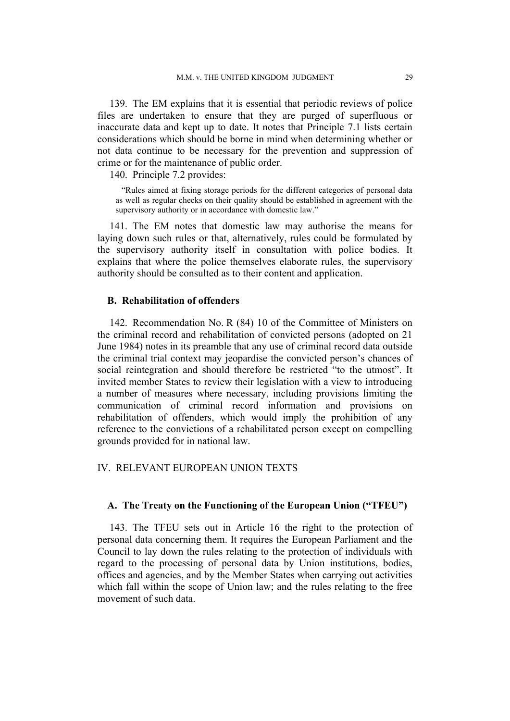139. The EM explains that it is essential that periodic reviews of police files are undertaken to ensure that they are purged of superfluous or inaccurate data and kept up to date. It notes that Principle 7.1 lists certain considerations which should be borne in mind when determining whether or not data continue to be necessary for the prevention and suppression of crime or for the maintenance of public order.

140. Principle 7.2 provides:

"Rules aimed at fixing storage periods for the different categories of personal data as well as regular checks on their quality should be established in agreement with the supervisory authority or in accordance with domestic law."

141. The EM notes that domestic law may authorise the means for laying down such rules or that, alternatively, rules could be formulated by the supervisory authority itself in consultation with police bodies. It explains that where the police themselves elaborate rules, the supervisory authority should be consulted as to their content and application.

## **B. Rehabilitation of offenders**

142. Recommendation No. R (84) 10 of the Committee of Ministers on the criminal record and rehabilitation of convicted persons (adopted on 21 June 1984) notes in its preamble that any use of criminal record data outside the criminal trial context may jeopardise the convicted person's chances of social reintegration and should therefore be restricted "to the utmost". It invited member States to review their legislation with a view to introducing a number of measures where necessary, including provisions limiting the communication of criminal record information and provisions on rehabilitation of offenders, which would imply the prohibition of any reference to the convictions of a rehabilitated person except on compelling grounds provided for in national law.

## IV. RELEVANT EUROPEAN UNION TEXTS

## **A. The Treaty on the Functioning of the European Union ("TFEU")**

143. The TFEU sets out in Article 16 the right to the protection of personal data concerning them. It requires the European Parliament and the Council to lay down the rules relating to the protection of individuals with regard to the processing of personal data by Union institutions, bodies, offices and agencies, and by the Member States when carrying out activities which fall within the scope of Union law; and the rules relating to the free movement of such data.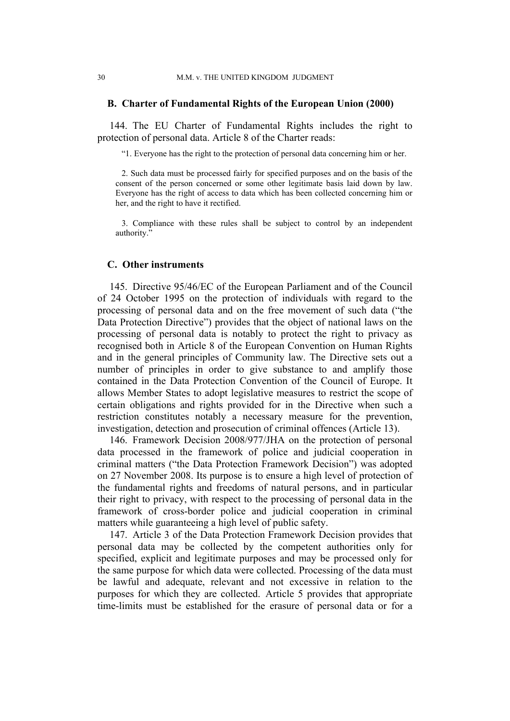## **B. Charter of Fundamental Rights of the European Union (2000)**

144. The EU Charter of Fundamental Rights includes the right to protection of personal data. Article 8 of the Charter reads:

"1. Everyone has the right to the protection of personal data concerning him or her.

2. Such data must be processed fairly for specified purposes and on the basis of the consent of the person concerned or some other legitimate basis laid down by law. Everyone has the right of access to data which has been collected concerning him or her, and the right to have it rectified.

3. Compliance with these rules shall be subject to control by an independent authority."

#### **C. Other instruments**

145. Directive 95/46/EC of the European Parliament and of the Council of 24 October 1995 on the protection of individuals with regard to the processing of personal data and on the free movement of such data ("the Data Protection Directive") provides that the object of national laws on the processing of personal data is notably to protect the right to privacy as recognised both in Article 8 of the European Convention on Human Rights and in the general principles of Community law. The Directive sets out a number of principles in order to give substance to and amplify those contained in the Data Protection Convention of the Council of Europe. It allows Member States to adopt legislative measures to restrict the scope of certain obligations and rights provided for in the Directive when such a restriction constitutes notably a necessary measure for the prevention, investigation, detection and prosecution of criminal offences (Article 13).

146. Framework Decision 2008/977/JHA on the protection of personal data processed in the framework of police and judicial cooperation in criminal matters ("the Data Protection Framework Decision") was adopted on 27 November 2008. Its purpose is to ensure a high level of protection of the fundamental rights and freedoms of natural persons, and in particular their right to privacy, with respect to the processing of personal data in the framework of cross-border police and judicial cooperation in criminal matters while guaranteeing a high level of public safety.

147. Article 3 of the Data Protection Framework Decision provides that personal data may be collected by the competent authorities only for specified, explicit and legitimate purposes and may be processed only for the same purpose for which data were collected. Processing of the data must be lawful and adequate, relevant and not excessive in relation to the purposes for which they are collected. Article 5 provides that appropriate time-limits must be established for the erasure of personal data or for a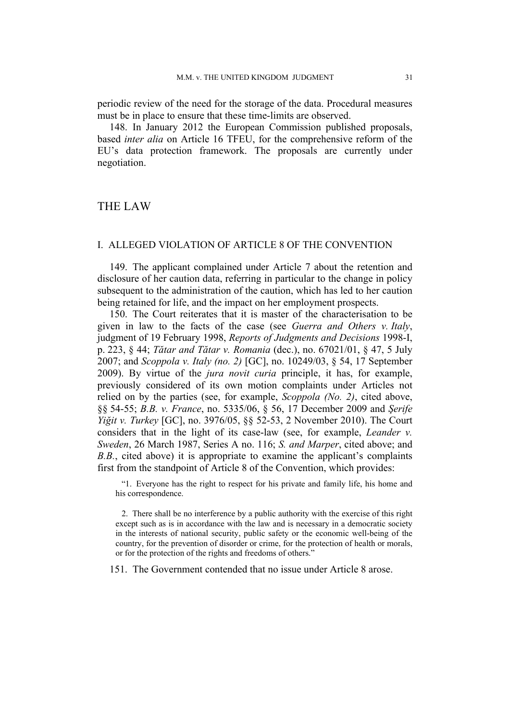periodic review of the need for the storage of the data. Procedural measures must be in place to ensure that these time-limits are observed.

148. In January 2012 the European Commission published proposals, based *inter alia* on Article 16 TFEU, for the comprehensive reform of the EU's data protection framework. The proposals are currently under negotiation.

## THE LAW

## I. ALLEGED VIOLATION OF ARTICLE 8 OF THE CONVENTION

149. The applicant complained under Article 7 about the retention and disclosure of her caution data, referring in particular to the change in policy subsequent to the administration of the caution, which has led to her caution being retained for life, and the impact on her employment prospects.

150. The Court reiterates that it is master of the characterisation to be given in law to the facts of the case (see *Guerra and Others v. Italy*, judgment of 19 February 1998, *Reports of Judgments and Decisions* 1998-I, p. 223, § 44; *Tătar and Tătar v. Romania* (dec.), no. 67021/01, § 47, 5 July 2007; and *Scoppola v. Italy (no. 2)* [GC], no. 10249/03, § 54, 17 September 2009). By virtue of the *jura novit curia* principle, it has, for example, previously considered of its own motion complaints under Articles not relied on by the parties (see, for example, *Scoppola (No. 2)*, cited above, §§ 54-55; *B.B. v. France*, no. 5335/06, § 56, 17 December 2009 and *Şerife Yiğit v. Turkey* [GC], no. 3976/05, §§ 52-53, 2 November 2010). The Court considers that in the light of its case-law (see, for example, *Leander v. Sweden*, 26 March 1987, Series A no. 116; *S. and Marper*, cited above; and *B.B.*, cited above) it is appropriate to examine the applicant's complaints first from the standpoint of Article 8 of the Convention, which provides:

"1. Everyone has the right to respect for his private and family life, his home and his correspondence.

2. There shall be no interference by a public authority with the exercise of this right except such as is in accordance with the law and is necessary in a democratic society in the interests of national security, public safety or the economic well-being of the country, for the prevention of disorder or crime, for the protection of health or morals, or for the protection of the rights and freedoms of others."

151. The Government contended that no issue under Article 8 arose.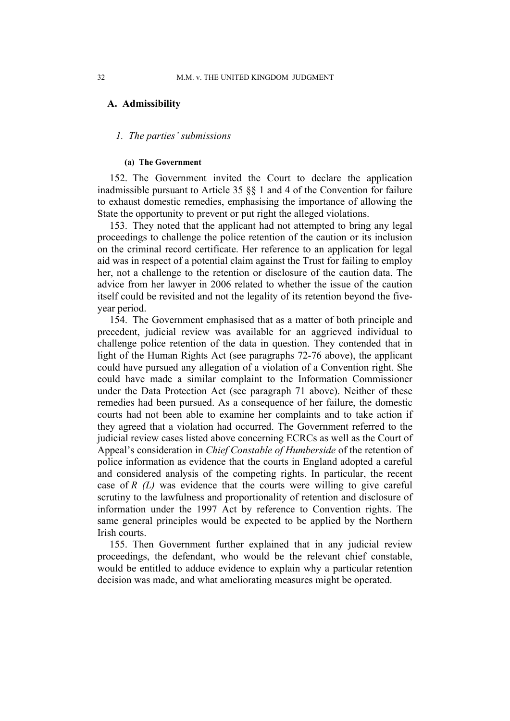## **A. Admissibility**

### *1. The parties' submissions*

#### **(a) The Government**

152. The Government invited the Court to declare the application inadmissible pursuant to Article 35 §§ 1 and 4 of the Convention for failure to exhaust domestic remedies, emphasising the importance of allowing the State the opportunity to prevent or put right the alleged violations.

153. They noted that the applicant had not attempted to bring any legal proceedings to challenge the police retention of the caution or its inclusion on the criminal record certificate. Her reference to an application for legal aid was in respect of a potential claim against the Trust for failing to employ her, not a challenge to the retention or disclosure of the caution data. The advice from her lawyer in 2006 related to whether the issue of the caution itself could be revisited and not the legality of its retention beyond the fiveyear period.

154. The Government emphasised that as a matter of both principle and precedent, judicial review was available for an aggrieved individual to challenge police retention of the data in question. They contended that in light of the Human Rights Act (see paragraphs 72-76 above), the applicant could have pursued any allegation of a violation of a Convention right. She could have made a similar complaint to the Information Commissioner under the Data Protection Act (see paragraph 71 above). Neither of these remedies had been pursued. As a consequence of her failure, the domestic courts had not been able to examine her complaints and to take action if they agreed that a violation had occurred. The Government referred to the judicial review cases listed above concerning ECRCs as well as the Court of Appeal's consideration in *Chief Constable of Humberside* of the retention of police information as evidence that the courts in England adopted a careful and considered analysis of the competing rights. In particular, the recent case of *R (L)* was evidence that the courts were willing to give careful scrutiny to the lawfulness and proportionality of retention and disclosure of information under the 1997 Act by reference to Convention rights. The same general principles would be expected to be applied by the Northern Irish courts.

155. Then Government further explained that in any judicial review proceedings, the defendant, who would be the relevant chief constable, would be entitled to adduce evidence to explain why a particular retention decision was made, and what ameliorating measures might be operated.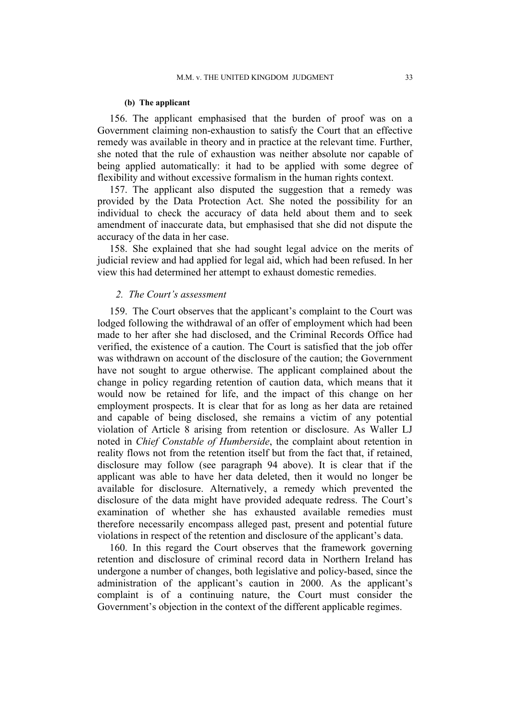### **(b) The applicant**

156. The applicant emphasised that the burden of proof was on a Government claiming non-exhaustion to satisfy the Court that an effective remedy was available in theory and in practice at the relevant time. Further, she noted that the rule of exhaustion was neither absolute nor capable of being applied automatically: it had to be applied with some degree of flexibility and without excessive formalism in the human rights context.

157. The applicant also disputed the suggestion that a remedy was provided by the Data Protection Act. She noted the possibility for an individual to check the accuracy of data held about them and to seek amendment of inaccurate data, but emphasised that she did not dispute the accuracy of the data in her case.

158. She explained that she had sought legal advice on the merits of judicial review and had applied for legal aid, which had been refused. In her view this had determined her attempt to exhaust domestic remedies.

## *2. The Court's assessment*

159. The Court observes that the applicant's complaint to the Court was lodged following the withdrawal of an offer of employment which had been made to her after she had disclosed, and the Criminal Records Office had verified, the existence of a caution. The Court is satisfied that the job offer was withdrawn on account of the disclosure of the caution; the Government have not sought to argue otherwise. The applicant complained about the change in policy regarding retention of caution data, which means that it would now be retained for life, and the impact of this change on her employment prospects. It is clear that for as long as her data are retained and capable of being disclosed, she remains a victim of any potential violation of Article 8 arising from retention or disclosure. As Waller LJ noted in *Chief Constable of Humberside*, the complaint about retention in reality flows not from the retention itself but from the fact that, if retained, disclosure may follow (see paragraph 94 above). It is clear that if the applicant was able to have her data deleted, then it would no longer be available for disclosure. Alternatively, a remedy which prevented the disclosure of the data might have provided adequate redress. The Court's examination of whether she has exhausted available remedies must therefore necessarily encompass alleged past, present and potential future violations in respect of the retention and disclosure of the applicant's data.

160. In this regard the Court observes that the framework governing retention and disclosure of criminal record data in Northern Ireland has undergone a number of changes, both legislative and policy-based, since the administration of the applicant's caution in 2000. As the applicant's complaint is of a continuing nature, the Court must consider the Government's objection in the context of the different applicable regimes.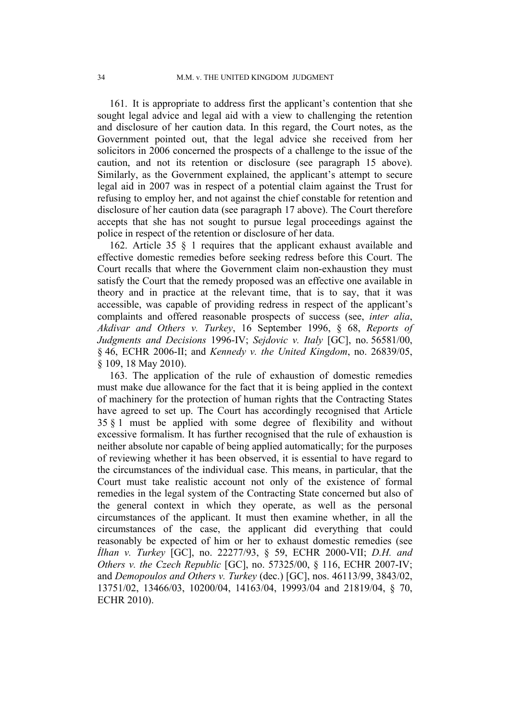161. It is appropriate to address first the applicant's contention that she sought legal advice and legal aid with a view to challenging the retention and disclosure of her caution data. In this regard, the Court notes, as the Government pointed out, that the legal advice she received from her solicitors in 2006 concerned the prospects of a challenge to the issue of the caution, and not its retention or disclosure (see paragraph 15 above). Similarly, as the Government explained, the applicant's attempt to secure legal aid in 2007 was in respect of a potential claim against the Trust for refusing to employ her, and not against the chief constable for retention and disclosure of her caution data (see paragraph 17 above). The Court therefore accepts that she has not sought to pursue legal proceedings against the police in respect of the retention or disclosure of her data.

162. Article 35 § 1 requires that the applicant exhaust available and effective domestic remedies before seeking redress before this Court. The Court recalls that where the Government claim non-exhaustion they must satisfy the Court that the remedy proposed was an effective one available in theory and in practice at the relevant time, that is to say, that it was accessible, was capable of providing redress in respect of the applicant's complaints and offered reasonable prospects of success (see, *inter alia*, *Akdivar and Others v. Turkey*, 16 September 1996, § 68, *Reports of Judgments and Decisions* 1996-IV; *Sejdovic v. Italy* [GC], no. 56581/00, § 46, ECHR 2006-II; and *Kennedy v. the United Kingdom*, no. 26839/05, § 109, 18 May 2010).

163. The application of the rule of exhaustion of domestic remedies must make due allowance for the fact that it is being applied in the context of machinery for the protection of human rights that the Contracting States have agreed to set up. The Court has accordingly recognised that Article 35 § 1 must be applied with some degree of flexibility and without excessive formalism. It has further recognised that the rule of exhaustion is neither absolute nor capable of being applied automatically; for the purposes of reviewing whether it has been observed, it is essential to have regard to the circumstances of the individual case. This means, in particular, that the Court must take realistic account not only of the existence of formal remedies in the legal system of the Contracting State concerned but also of the general context in which they operate, as well as the personal circumstances of the applicant. It must then examine whether, in all the circumstances of the case, the applicant did everything that could reasonably be expected of him or her to exhaust domestic remedies (see *İlhan v. Turkey* [GC], no. 22277/93, § 59, ECHR 2000-VII; *D.H. and Others v. the Czech Republic* [GC], no. 57325/00, § 116, ECHR 2007-IV; and *Demopoulos and Others v. Turkey* (dec.) [GC], nos. 46113/99, 3843/02, 13751/02, 13466/03, 10200/04, 14163/04, 19993/04 and 21819/04, § 70, ECHR 2010).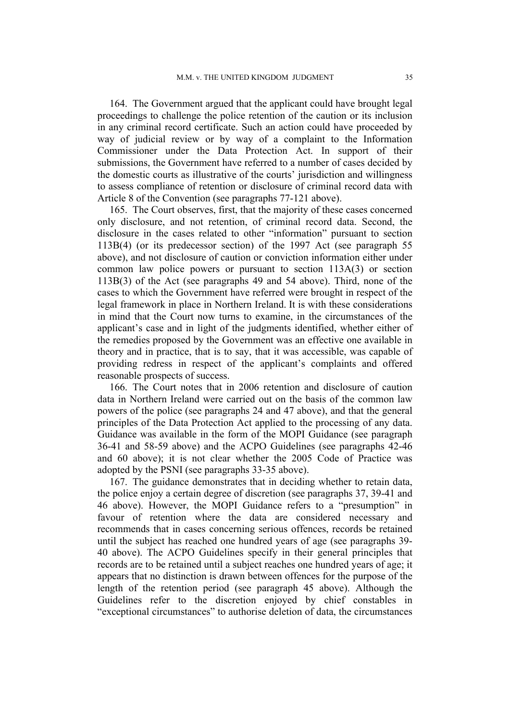164. The Government argued that the applicant could have brought legal proceedings to challenge the police retention of the caution or its inclusion in any criminal record certificate. Such an action could have proceeded by way of judicial review or by way of a complaint to the Information Commissioner under the Data Protection Act. In support of their submissions, the Government have referred to a number of cases decided by the domestic courts as illustrative of the courts' jurisdiction and willingness to assess compliance of retention or disclosure of criminal record data with Article 8 of the Convention (see paragraphs 77-121 above).

165. The Court observes, first, that the majority of these cases concerned only disclosure, and not retention, of criminal record data. Second, the disclosure in the cases related to other "information" pursuant to section 113B(4) (or its predecessor section) of the 1997 Act (see paragraph 55 above), and not disclosure of caution or conviction information either under common law police powers or pursuant to section 113A(3) or section 113B(3) of the Act (see paragraphs 49 and 54 above). Third, none of the cases to which the Government have referred were brought in respect of the legal framework in place in Northern Ireland. It is with these considerations in mind that the Court now turns to examine, in the circumstances of the applicant's case and in light of the judgments identified, whether either of the remedies proposed by the Government was an effective one available in theory and in practice, that is to say, that it was accessible, was capable of providing redress in respect of the applicant's complaints and offered reasonable prospects of success.

166. The Court notes that in 2006 retention and disclosure of caution data in Northern Ireland were carried out on the basis of the common law powers of the police (see paragraphs 24 and 47 above), and that the general principles of the Data Protection Act applied to the processing of any data. Guidance was available in the form of the MOPI Guidance (see paragraph 36-41 and 58-59 above) and the ACPO Guidelines (see paragraphs 42-46 and 60 above); it is not clear whether the 2005 Code of Practice was adopted by the PSNI (see paragraphs 33-35 above).

167. The guidance demonstrates that in deciding whether to retain data, the police enjoy a certain degree of discretion (see paragraphs 37, 39-41 and 46 above). However, the MOPI Guidance refers to a "presumption" in favour of retention where the data are considered necessary and recommends that in cases concerning serious offences, records be retained until the subject has reached one hundred years of age (see paragraphs 39- 40 above). The ACPO Guidelines specify in their general principles that records are to be retained until a subject reaches one hundred years of age; it appears that no distinction is drawn between offences for the purpose of the length of the retention period (see paragraph 45 above). Although the Guidelines refer to the discretion enjoyed by chief constables in "exceptional circumstances" to authorise deletion of data, the circumstances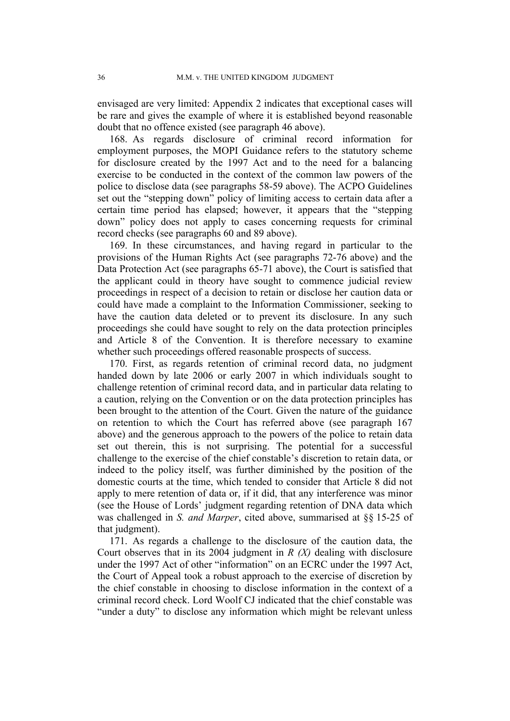envisaged are very limited: Appendix 2 indicates that exceptional cases will be rare and gives the example of where it is established beyond reasonable doubt that no offence existed (see paragraph 46 above).

168. As regards disclosure of criminal record information for employment purposes, the MOPI Guidance refers to the statutory scheme for disclosure created by the 1997 Act and to the need for a balancing exercise to be conducted in the context of the common law powers of the police to disclose data (see paragraphs 58-59 above). The ACPO Guidelines set out the "stepping down" policy of limiting access to certain data after a certain time period has elapsed; however, it appears that the "stepping down" policy does not apply to cases concerning requests for criminal record checks (see paragraphs 60 and 89 above).

169. In these circumstances, and having regard in particular to the provisions of the Human Rights Act (see paragraphs 72-76 above) and the Data Protection Act (see paragraphs 65-71 above), the Court is satisfied that the applicant could in theory have sought to commence judicial review proceedings in respect of a decision to retain or disclose her caution data or could have made a complaint to the Information Commissioner, seeking to have the caution data deleted or to prevent its disclosure. In any such proceedings she could have sought to rely on the data protection principles and Article 8 of the Convention. It is therefore necessary to examine whether such proceedings offered reasonable prospects of success.

170. First, as regards retention of criminal record data, no judgment handed down by late 2006 or early 2007 in which individuals sought to challenge retention of criminal record data, and in particular data relating to a caution, relying on the Convention or on the data protection principles has been brought to the attention of the Court. Given the nature of the guidance on retention to which the Court has referred above (see paragraph 167 above) and the generous approach to the powers of the police to retain data set out therein, this is not surprising. The potential for a successful challenge to the exercise of the chief constable's discretion to retain data, or indeed to the policy itself, was further diminished by the position of the domestic courts at the time, which tended to consider that Article 8 did not apply to mere retention of data or, if it did, that any interference was minor (see the House of Lords' judgment regarding retention of DNA data which was challenged in *S. and Marper*, cited above, summarised at §§ 15-25 of that judgment).

171. As regards a challenge to the disclosure of the caution data, the Court observes that in its 2004 judgment in *R (X)* dealing with disclosure under the 1997 Act of other "information" on an ECRC under the 1997 Act, the Court of Appeal took a robust approach to the exercise of discretion by the chief constable in choosing to disclose information in the context of a criminal record check. Lord Woolf CJ indicated that the chief constable was "under a duty" to disclose any information which might be relevant unless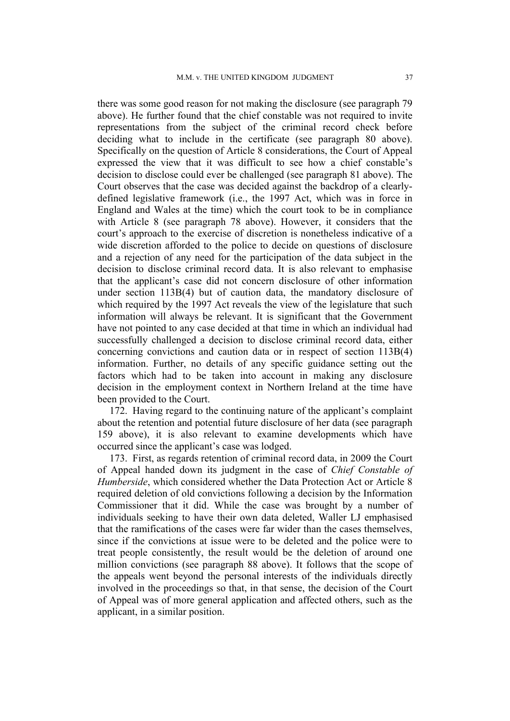there was some good reason for not making the disclosure (see paragraph 79 above). He further found that the chief constable was not required to invite representations from the subject of the criminal record check before deciding what to include in the certificate (see paragraph 80 above). Specifically on the question of Article 8 considerations, the Court of Appeal expressed the view that it was difficult to see how a chief constable's decision to disclose could ever be challenged (see paragraph 81 above). The Court observes that the case was decided against the backdrop of a clearlydefined legislative framework (i.e., the 1997 Act, which was in force in England and Wales at the time) which the court took to be in compliance with Article 8 (see paragraph 78 above). However, it considers that the court's approach to the exercise of discretion is nonetheless indicative of a wide discretion afforded to the police to decide on questions of disclosure and a rejection of any need for the participation of the data subject in the decision to disclose criminal record data. It is also relevant to emphasise that the applicant's case did not concern disclosure of other information under section 113B(4) but of caution data, the mandatory disclosure of which required by the 1997 Act reveals the view of the legislature that such information will always be relevant. It is significant that the Government have not pointed to any case decided at that time in which an individual had successfully challenged a decision to disclose criminal record data, either concerning convictions and caution data or in respect of section 113B(4) information. Further, no details of any specific guidance setting out the factors which had to be taken into account in making any disclosure decision in the employment context in Northern Ireland at the time have been provided to the Court.

172. Having regard to the continuing nature of the applicant's complaint about the retention and potential future disclosure of her data (see paragraph 159 above), it is also relevant to examine developments which have occurred since the applicant's case was lodged.

173. First, as regards retention of criminal record data, in 2009 the Court of Appeal handed down its judgment in the case of *Chief Constable of Humberside*, which considered whether the Data Protection Act or Article 8 required deletion of old convictions following a decision by the Information Commissioner that it did. While the case was brought by a number of individuals seeking to have their own data deleted, Waller LJ emphasised that the ramifications of the cases were far wider than the cases themselves, since if the convictions at issue were to be deleted and the police were to treat people consistently, the result would be the deletion of around one million convictions (see paragraph 88 above). It follows that the scope of the appeals went beyond the personal interests of the individuals directly involved in the proceedings so that, in that sense, the decision of the Court of Appeal was of more general application and affected others, such as the applicant, in a similar position.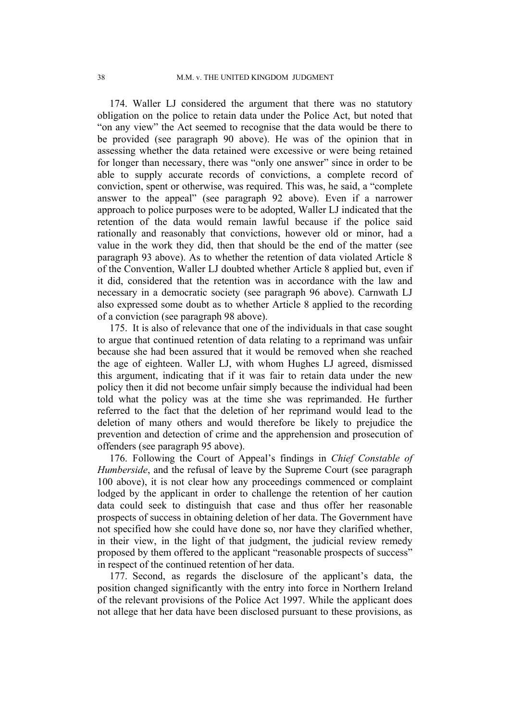174. Waller LJ considered the argument that there was no statutory obligation on the police to retain data under the Police Act, but noted that "on any view" the Act seemed to recognise that the data would be there to be provided (see paragraph 90 above). He was of the opinion that in assessing whether the data retained were excessive or were being retained for longer than necessary, there was "only one answer" since in order to be able to supply accurate records of convictions, a complete record of conviction, spent or otherwise, was required. This was, he said, a "complete answer to the appeal" (see paragraph 92 above). Even if a narrower approach to police purposes were to be adopted, Waller LJ indicated that the retention of the data would remain lawful because if the police said rationally and reasonably that convictions, however old or minor, had a value in the work they did, then that should be the end of the matter (see paragraph 93 above). As to whether the retention of data violated Article 8 of the Convention, Waller LJ doubted whether Article 8 applied but, even if it did, considered that the retention was in accordance with the law and necessary in a democratic society (see paragraph 96 above). Carnwath LJ also expressed some doubt as to whether Article 8 applied to the recording of a conviction (see paragraph 98 above).

175. It is also of relevance that one of the individuals in that case sought to argue that continued retention of data relating to a reprimand was unfair because she had been assured that it would be removed when she reached the age of eighteen. Waller LJ, with whom Hughes LJ agreed, dismissed this argument, indicating that if it was fair to retain data under the new policy then it did not become unfair simply because the individual had been told what the policy was at the time she was reprimanded. He further referred to the fact that the deletion of her reprimand would lead to the deletion of many others and would therefore be likely to prejudice the prevention and detection of crime and the apprehension and prosecution of offenders (see paragraph 95 above).

176. Following the Court of Appeal's findings in *Chief Constable of Humberside*, and the refusal of leave by the Supreme Court (see paragraph) 100 above), it is not clear how any proceedings commenced or complaint lodged by the applicant in order to challenge the retention of her caution data could seek to distinguish that case and thus offer her reasonable prospects of success in obtaining deletion of her data. The Government have not specified how she could have done so, nor have they clarified whether, in their view, in the light of that judgment, the judicial review remedy proposed by them offered to the applicant "reasonable prospects of success" in respect of the continued retention of her data.

177. Second, as regards the disclosure of the applicant's data, the position changed significantly with the entry into force in Northern Ireland of the relevant provisions of the Police Act 1997. While the applicant does not allege that her data have been disclosed pursuant to these provisions, as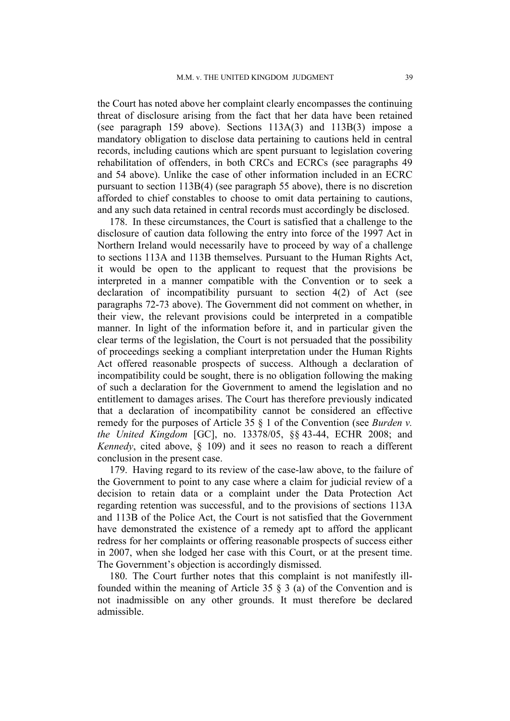the Court has noted above her complaint clearly encompasses the continuing threat of disclosure arising from the fact that her data have been retained (see paragraph 159 above). Sections 113A(3) and 113B(3) impose a mandatory obligation to disclose data pertaining to cautions held in central records, including cautions which are spent pursuant to legislation covering rehabilitation of offenders, in both CRCs and ECRCs (see paragraphs 49 and 54 above). Unlike the case of other information included in an ECRC pursuant to section 113B(4) (see paragraph 55 above), there is no discretion afforded to chief constables to choose to omit data pertaining to cautions, and any such data retained in central records must accordingly be disclosed.

178. In these circumstances, the Court is satisfied that a challenge to the disclosure of caution data following the entry into force of the 1997 Act in Northern Ireland would necessarily have to proceed by way of a challenge to sections 113A and 113B themselves. Pursuant to the Human Rights Act, it would be open to the applicant to request that the provisions be interpreted in a manner compatible with the Convention or to seek a declaration of incompatibility pursuant to section 4(2) of Act (see paragraphs 72-73 above). The Government did not comment on whether, in their view, the relevant provisions could be interpreted in a compatible manner. In light of the information before it, and in particular given the clear terms of the legislation, the Court is not persuaded that the possibility of proceedings seeking a compliant interpretation under the Human Rights Act offered reasonable prospects of success. Although a declaration of incompatibility could be sought, there is no obligation following the making of such a declaration for the Government to amend the legislation and no entitlement to damages arises. The Court has therefore previously indicated that a declaration of incompatibility cannot be considered an effective remedy for the purposes of Article 35 § 1 of the Convention (see *Burden v. the United Kingdom* [GC], no. 13378/05, §§ 43-44, ECHR 2008; and *Kennedy*, cited above, § 109) and it sees no reason to reach a different conclusion in the present case.

179. Having regard to its review of the case-law above, to the failure of the Government to point to any case where a claim for judicial review of a decision to retain data or a complaint under the Data Protection Act regarding retention was successful, and to the provisions of sections 113A and 113B of the Police Act, the Court is not satisfied that the Government have demonstrated the existence of a remedy apt to afford the applicant redress for her complaints or offering reasonable prospects of success either in 2007, when she lodged her case with this Court, or at the present time. The Government's objection is accordingly dismissed.

180. The Court further notes that this complaint is not manifestly illfounded within the meaning of Article 35 § 3 (a) of the Convention and is not inadmissible on any other grounds. It must therefore be declared admissible.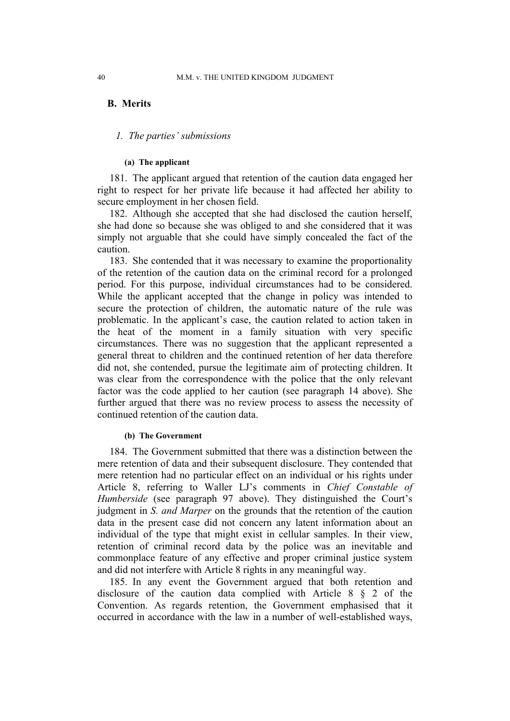## **B. Merits**

### *1. The parties' submissions*

## **(a) The applicant**

181. The applicant argued that retention of the caution data engaged her right to respect for her private life because it had affected her ability to secure employment in her chosen field.

182. Although she accepted that she had disclosed the caution herself, she had done so because she was obliged to and she considered that it was simply not arguable that she could have simply concealed the fact of the caution.

183. She contended that it was necessary to examine the proportionality of the retention of the caution data on the criminal record for a prolonged period. For this purpose, individual circumstances had to be considered. While the applicant accepted that the change in policy was intended to secure the protection of children, the automatic nature of the rule was problematic. In the applicant's case, the caution related to action taken in the heat of the moment in a family situation with very specific circumstances. There was no suggestion that the applicant represented a general threat to children and the continued retention of her data therefore did not, she contended, pursue the legitimate aim of protecting children. It was clear from the correspondence with the police that the only relevant factor was the code applied to her caution (see paragraph 14 above). She further argued that there was no review process to assess the necessity of continued retention of the caution data.

## **(b) The Government**

184. The Government submitted that there was a distinction between the mere retention of data and their subsequent disclosure. They contended that mere retention had no particular effect on an individual or his rights under Article 8, referring to Waller LJ's comments in *Chief Constable of Humberside* (see paragraph 97 above). They distinguished the Court's judgment in *S. and Marper* on the grounds that the retention of the caution data in the present case did not concern any latent information about an individual of the type that might exist in cellular samples. In their view, retention of criminal record data by the police was an inevitable and commonplace feature of any effective and proper criminal justice system and did not interfere with Article 8 rights in any meaningful way.

185. In any event the Government argued that both retention and disclosure of the caution data complied with Article 8 § 2 of the Convention. As regards retention, the Government emphasised that it occurred in accordance with the law in a number of well-established ways,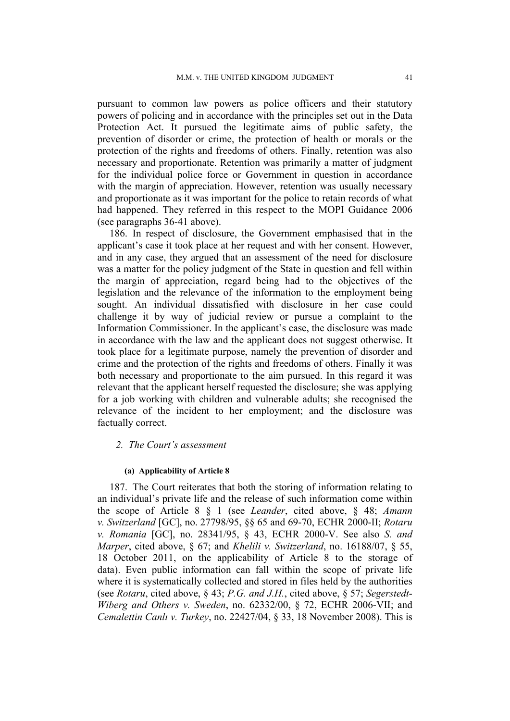pursuant to common law powers as police officers and their statutory powers of policing and in accordance with the principles set out in the Data Protection Act. It pursued the legitimate aims of public safety, the prevention of disorder or crime, the protection of health or morals or the protection of the rights and freedoms of others. Finally, retention was also necessary and proportionate. Retention was primarily a matter of judgment for the individual police force or Government in question in accordance with the margin of appreciation. However, retention was usually necessary and proportionate as it was important for the police to retain records of what had happened. They referred in this respect to the MOPI Guidance 2006 (see paragraphs 36-41 above).

186. In respect of disclosure, the Government emphasised that in the applicant's case it took place at her request and with her consent. However, and in any case, they argued that an assessment of the need for disclosure was a matter for the policy judgment of the State in question and fell within the margin of appreciation, regard being had to the objectives of the legislation and the relevance of the information to the employment being sought. An individual dissatisfied with disclosure in her case could challenge it by way of judicial review or pursue a complaint to the Information Commissioner. In the applicant's case, the disclosure was made in accordance with the law and the applicant does not suggest otherwise. It took place for a legitimate purpose, namely the prevention of disorder and crime and the protection of the rights and freedoms of others. Finally it was both necessary and proportionate to the aim pursued. In this regard it was relevant that the applicant herself requested the disclosure; she was applying for a job working with children and vulnerable adults; she recognised the relevance of the incident to her employment; and the disclosure was factually correct.

## *2. The Court's assessment*

#### **(a) Applicability of Article 8**

187. The Court reiterates that both the storing of information relating to an individual's private life and the release of such information come within the scope of Article 8 § 1 (see *Leander*, cited above, § 48; *Amann v. Switzerland* [GC], no. 27798/95, §§ 65 and 69-70, ECHR 2000-II; *Rotaru v. Romania* [GC], no. 28341/95, § 43, ECHR 2000-V. See also *S. and Marper*, cited above, § 67; and *Khelili v. Switzerland*, no. 16188/07, § 55, 18 October 2011, on the applicability of Article 8 to the storage of data). Even public information can fall within the scope of private life where it is systematically collected and stored in files held by the authorities (see *Rotaru*, cited above, § 43; *P.G. and J.H.*, cited above, § 57; *Segerstedt-Wiberg and Others v. Sweden*, no. 62332/00, § 72, ECHR 2006-VII; and *Cemalettin Canlı v. Turkey*, no. 22427/04, § 33, 18 November 2008). This is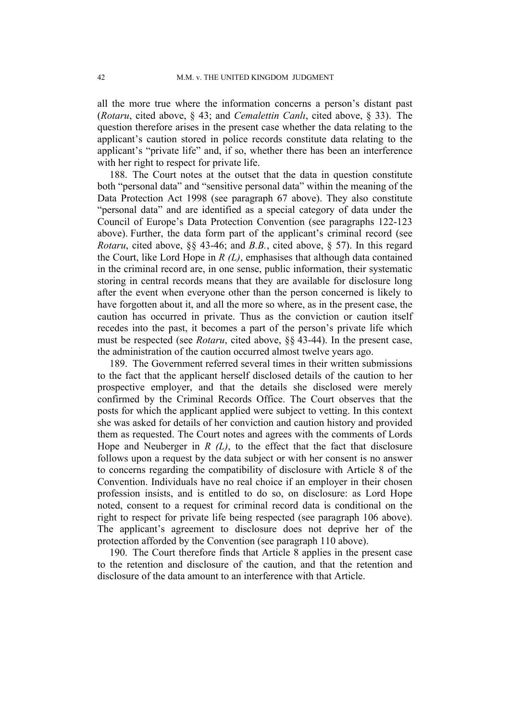all the more true where the information concerns a person's distant past (*Rotaru*, cited above, § 43; and *Cemalettin Canlı*, cited above, § 33). The question therefore arises in the present case whether the data relating to the applicant's caution stored in police records constitute data relating to the applicant's "private life" and, if so, whether there has been an interference with her right to respect for private life.

188. The Court notes at the outset that the data in question constitute both "personal data" and "sensitive personal data" within the meaning of the Data Protection Act 1998 (see paragraph 67 above). They also constitute "personal data" and are identified as a special category of data under the Council of Europe's Data Protection Convention (see paragraphs 122-123 above). Further, the data form part of the applicant's criminal record (see *Rotaru*, cited above, §§ 43-46; and *B.B.*, cited above, § 57). In this regard the Court, like Lord Hope in *R (L)*, emphasises that although data contained in the criminal record are, in one sense, public information, their systematic storing in central records means that they are available for disclosure long after the event when everyone other than the person concerned is likely to have forgotten about it, and all the more so where, as in the present case, the caution has occurred in private. Thus as the conviction or caution itself recedes into the past, it becomes a part of the person's private life which must be respected (see *Rotaru*, cited above, §§ 43-44). In the present case, the administration of the caution occurred almost twelve years ago.

189. The Government referred several times in their written submissions to the fact that the applicant herself disclosed details of the caution to her prospective employer, and that the details she disclosed were merely confirmed by the Criminal Records Office. The Court observes that the posts for which the applicant applied were subject to vetting. In this context she was asked for details of her conviction and caution history and provided them as requested. The Court notes and agrees with the comments of Lords Hope and Neuberger in  $R(L)$ , to the effect that the fact that disclosure follows upon a request by the data subject or with her consent is no answer to concerns regarding the compatibility of disclosure with Article 8 of the Convention. Individuals have no real choice if an employer in their chosen profession insists, and is entitled to do so, on disclosure: as Lord Hope noted, consent to a request for criminal record data is conditional on the right to respect for private life being respected (see paragraph 106 above). The applicant's agreement to disclosure does not deprive her of the protection afforded by the Convention (see paragraph 110 above).

190. The Court therefore finds that Article 8 applies in the present case to the retention and disclosure of the caution, and that the retention and disclosure of the data amount to an interference with that Article.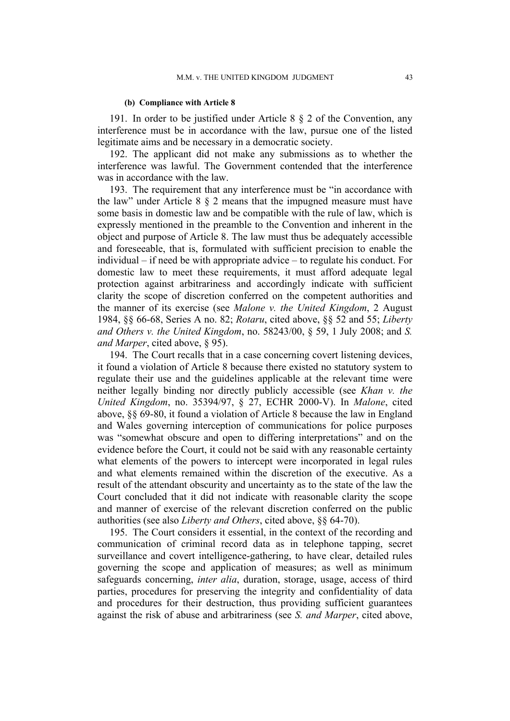#### **(b) Compliance with Article 8**

191. In order to be justified under Article 8 § 2 of the Convention, any interference must be in accordance with the law, pursue one of the listed legitimate aims and be necessary in a democratic society.

192. The applicant did not make any submissions as to whether the interference was lawful. The Government contended that the interference was in accordance with the law.

193. The requirement that any interference must be "in accordance with the law" under Article 8 § 2 means that the impugned measure must have some basis in domestic law and be compatible with the rule of law, which is expressly mentioned in the preamble to the Convention and inherent in the object and purpose of Article 8. The law must thus be adequately accessible and foreseeable, that is, formulated with sufficient precision to enable the individual – if need be with appropriate advice – to regulate his conduct. For domestic law to meet these requirements, it must afford adequate legal protection against arbitrariness and accordingly indicate with sufficient clarity the scope of discretion conferred on the competent authorities and the manner of its exercise (see *Malone v. the United Kingdom*, 2 August 1984, §§ 66-68, Series A no. 82; *Rotaru*, cited above, §§ 52 and 55; *Liberty and Others v. the United Kingdom*, no. 58243/00, § 59, 1 July 2008; and *S. and Marper*, cited above, § 95).

194. The Court recalls that in a case concerning covert listening devices, it found a violation of Article 8 because there existed no statutory system to regulate their use and the guidelines applicable at the relevant time were neither legally binding nor directly publicly accessible (see *Khan v. the United Kingdom*, no. 35394/97, § 27, ECHR 2000-V). In *Malone*, cited above, §§ 69-80, it found a violation of Article 8 because the law in England and Wales governing interception of communications for police purposes was "somewhat obscure and open to differing interpretations" and on the evidence before the Court, it could not be said with any reasonable certainty what elements of the powers to intercept were incorporated in legal rules and what elements remained within the discretion of the executive. As a result of the attendant obscurity and uncertainty as to the state of the law the Court concluded that it did not indicate with reasonable clarity the scope and manner of exercise of the relevant discretion conferred on the public authorities (see also *Liberty and Others*, cited above, §§ 64-70).

195. The Court considers it essential, in the context of the recording and communication of criminal record data as in telephone tapping, secret surveillance and covert intelligence-gathering, to have clear, detailed rules governing the scope and application of measures; as well as minimum safeguards concerning, *inter alia*, duration, storage, usage, access of third parties, procedures for preserving the integrity and confidentiality of data and procedures for their destruction, thus providing sufficient guarantees against the risk of abuse and arbitrariness (see *S. and Marper*, cited above,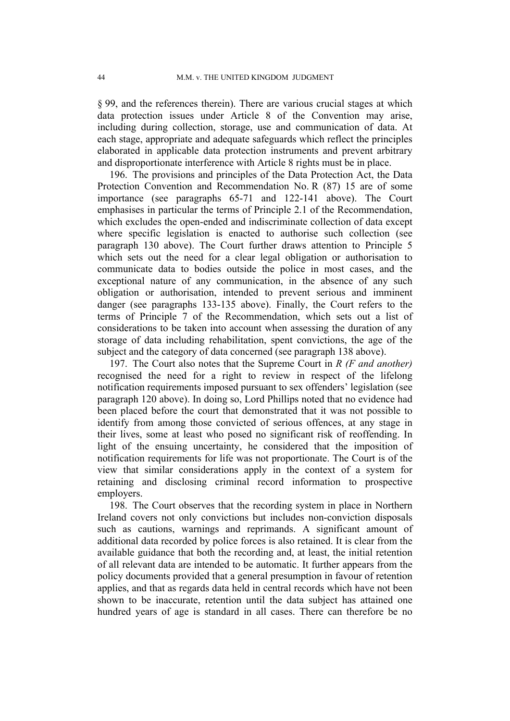§ 99, and the references therein). There are various crucial stages at which data protection issues under Article 8 of the Convention may arise, including during collection, storage, use and communication of data. At each stage, appropriate and adequate safeguards which reflect the principles elaborated in applicable data protection instruments and prevent arbitrary and disproportionate interference with Article 8 rights must be in place.

196. The provisions and principles of the Data Protection Act, the Data Protection Convention and Recommendation No. R (87) 15 are of some importance (see paragraphs 65-71 and 122-141 above). The Court emphasises in particular the terms of Principle 2.1 of the Recommendation, which excludes the open-ended and indiscriminate collection of data except where specific legislation is enacted to authorise such collection (see paragraph 130 above). The Court further draws attention to Principle 5 which sets out the need for a clear legal obligation or authorisation to communicate data to bodies outside the police in most cases, and the exceptional nature of any communication, in the absence of any such obligation or authorisation, intended to prevent serious and imminent danger (see paragraphs 133-135 above). Finally, the Court refers to the terms of Principle 7 of the Recommendation, which sets out a list of considerations to be taken into account when assessing the duration of any storage of data including rehabilitation, spent convictions, the age of the subject and the category of data concerned (see paragraph 138 above).

197. The Court also notes that the Supreme Court in *R (F and another)* recognised the need for a right to review in respect of the lifelong notification requirements imposed pursuant to sex offenders' legislation (see paragraph 120 above). In doing so, Lord Phillips noted that no evidence had been placed before the court that demonstrated that it was not possible to identify from among those convicted of serious offences, at any stage in their lives, some at least who posed no significant risk of reoffending. In light of the ensuing uncertainty, he considered that the imposition of notification requirements for life was not proportionate. The Court is of the view that similar considerations apply in the context of a system for retaining and disclosing criminal record information to prospective employers.

198. The Court observes that the recording system in place in Northern Ireland covers not only convictions but includes non-conviction disposals such as cautions, warnings and reprimands. A significant amount of additional data recorded by police forces is also retained. It is clear from the available guidance that both the recording and, at least, the initial retention of all relevant data are intended to be automatic. It further appears from the policy documents provided that a general presumption in favour of retention applies, and that as regards data held in central records which have not been shown to be inaccurate, retention until the data subject has attained one hundred years of age is standard in all cases. There can therefore be no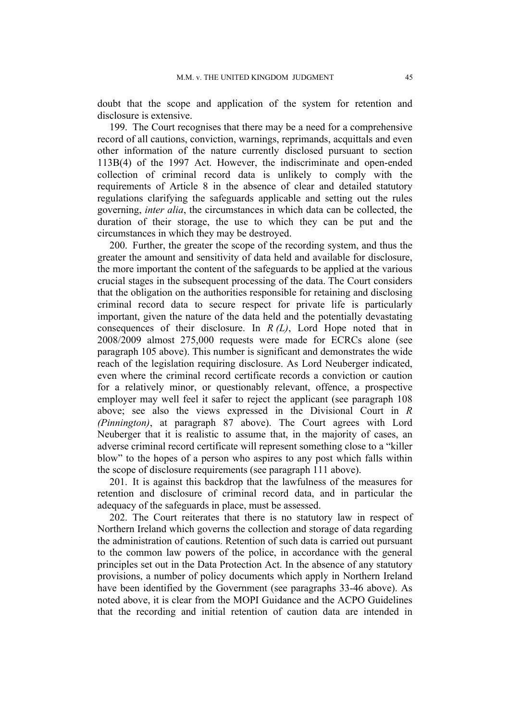doubt that the scope and application of the system for retention and disclosure is extensive.

199. The Court recognises that there may be a need for a comprehensive record of all cautions, conviction, warnings, reprimands, acquittals and even other information of the nature currently disclosed pursuant to section 113B(4) of the 1997 Act. However, the indiscriminate and open-ended collection of criminal record data is unlikely to comply with the requirements of Article 8 in the absence of clear and detailed statutory regulations clarifying the safeguards applicable and setting out the rules governing, *inter alia*, the circumstances in which data can be collected, the duration of their storage, the use to which they can be put and the circumstances in which they may be destroyed.

200. Further, the greater the scope of the recording system, and thus the greater the amount and sensitivity of data held and available for disclosure, the more important the content of the safeguards to be applied at the various crucial stages in the subsequent processing of the data. The Court considers that the obligation on the authorities responsible for retaining and disclosing criminal record data to secure respect for private life is particularly important, given the nature of the data held and the potentially devastating consequences of their disclosure. In *R (L)*, Lord Hope noted that in 2008/2009 almost 275,000 requests were made for ECRCs alone (see paragraph 105 above). This number is significant and demonstrates the wide reach of the legislation requiring disclosure. As Lord Neuberger indicated, even where the criminal record certificate records a conviction or caution for a relatively minor, or questionably relevant, offence, a prospective employer may well feel it safer to reject the applicant (see paragraph 108 above; see also the views expressed in the Divisional Court in *R (Pinnington)*, at paragraph 87 above). The Court agrees with Lord Neuberger that it is realistic to assume that, in the majority of cases, an adverse criminal record certificate will represent something close to a "killer blow" to the hopes of a person who aspires to any post which falls within the scope of disclosure requirements (see paragraph 111 above).

201. It is against this backdrop that the lawfulness of the measures for retention and disclosure of criminal record data, and in particular the adequacy of the safeguards in place, must be assessed.

202. The Court reiterates that there is no statutory law in respect of Northern Ireland which governs the collection and storage of data regarding the administration of cautions. Retention of such data is carried out pursuant to the common law powers of the police, in accordance with the general principles set out in the Data Protection Act. In the absence of any statutory provisions, a number of policy documents which apply in Northern Ireland have been identified by the Government (see paragraphs 33-46 above). As noted above, it is clear from the MOPI Guidance and the ACPO Guidelines that the recording and initial retention of caution data are intended in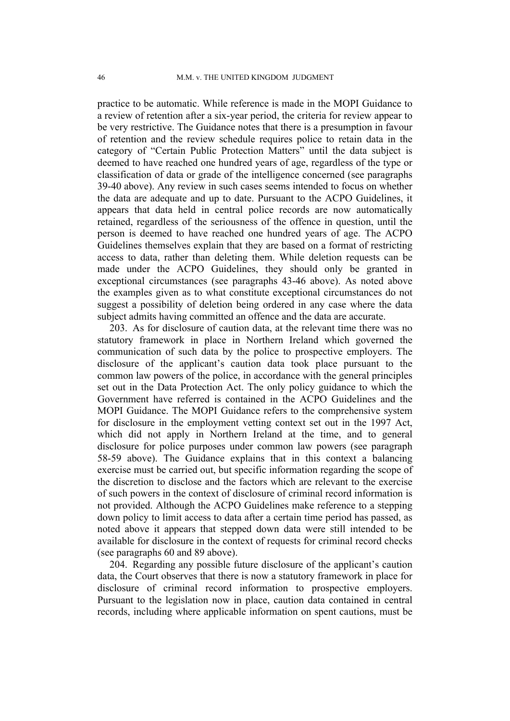practice to be automatic. While reference is made in the MOPI Guidance to a review of retention after a six-year period, the criteria for review appear to be very restrictive. The Guidance notes that there is a presumption in favour of retention and the review schedule requires police to retain data in the category of "Certain Public Protection Matters" until the data subject is deemed to have reached one hundred years of age, regardless of the type or classification of data or grade of the intelligence concerned (see paragraphs 39-40 above). Any review in such cases seems intended to focus on whether the data are adequate and up to date. Pursuant to the ACPO Guidelines, it appears that data held in central police records are now automatically retained, regardless of the seriousness of the offence in question, until the person is deemed to have reached one hundred years of age. The ACPO Guidelines themselves explain that they are based on a format of restricting access to data, rather than deleting them. While deletion requests can be made under the ACPO Guidelines, they should only be granted in exceptional circumstances (see paragraphs 43-46 above). As noted above the examples given as to what constitute exceptional circumstances do not suggest a possibility of deletion being ordered in any case where the data subject admits having committed an offence and the data are accurate.

203. As for disclosure of caution data, at the relevant time there was no statutory framework in place in Northern Ireland which governed the communication of such data by the police to prospective employers. The disclosure of the applicant's caution data took place pursuant to the common law powers of the police, in accordance with the general principles set out in the Data Protection Act. The only policy guidance to which the Government have referred is contained in the ACPO Guidelines and the MOPI Guidance. The MOPI Guidance refers to the comprehensive system for disclosure in the employment vetting context set out in the 1997 Act, which did not apply in Northern Ireland at the time, and to general disclosure for police purposes under common law powers (see paragraph 58-59 above). The Guidance explains that in this context a balancing exercise must be carried out, but specific information regarding the scope of the discretion to disclose and the factors which are relevant to the exercise of such powers in the context of disclosure of criminal record information is not provided. Although the ACPO Guidelines make reference to a stepping down policy to limit access to data after a certain time period has passed, as noted above it appears that stepped down data were still intended to be available for disclosure in the context of requests for criminal record checks (see paragraphs 60 and 89 above).

204. Regarding any possible future disclosure of the applicant's caution data, the Court observes that there is now a statutory framework in place for disclosure of criminal record information to prospective employers. Pursuant to the legislation now in place, caution data contained in central records, including where applicable information on spent cautions, must be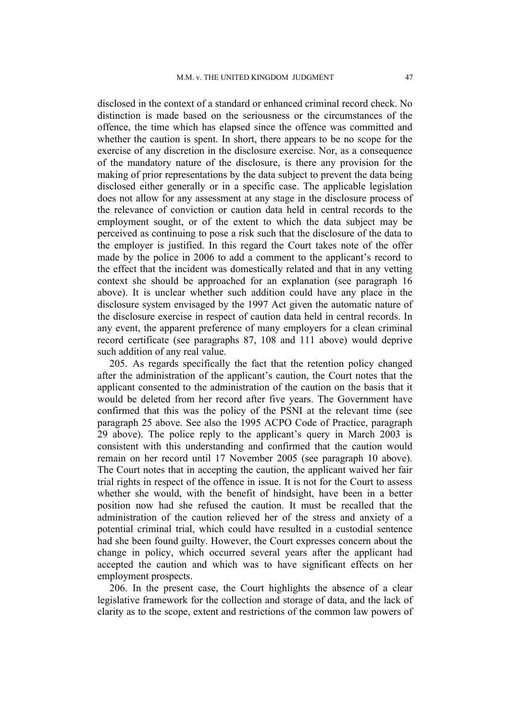disclosed in the context of a standard or enhanced criminal record check. No distinction is made based on the seriousness or the circumstances of the offence, the time which has elapsed since the offence was committed and whether the caution is spent. In short, there appears to be no scope for the exercise of any discretion in the disclosure exercise. Nor, as a consequence of the mandatory nature of the disclosure, is there any provision for the making of prior representations by the data subject to prevent the data being disclosed either generally or in a specific case. The applicable legislation does not allow for any assessment at any stage in the disclosure process of the relevance of conviction or caution data held in central records to the employment sought, or of the extent to which the data subject may be perceived as continuing to pose a risk such that the disclosure of the data to the employer is justified. In this regard the Court takes note of the offer made by the police in 2006 to add a comment to the applicant's record to the effect that the incident was domestically related and that in any vetting context she should be approached for an explanation (see paragraph 16 above). It is unclear whether such addition could have any place in the disclosure system envisaged by the 1997 Act given the automatic nature of the disclosure exercise in respect of caution data held in central records. In any event, the apparent preference of many employers for a clean criminal record certificate (see paragraphs 87, 108 and 111 above) would deprive such addition of any real value.

205. As regards specifically the fact that the retention policy changed after the administration of the applicant's caution, the Court notes that the applicant consented to the administration of the caution on the basis that it would be deleted from her record after five years. The Government have confirmed that this was the policy of the PSNI at the relevant time (see paragraph 25 above. See also the 1995 ACPO Code of Practice, paragraph 29 above). The police reply to the applicant's query in March 2003 is consistent with this understanding and confirmed that the caution would remain on her record until 17 November 2005 (see paragraph 10 above). The Court notes that in accepting the caution, the applicant waived her fair trial rights in respect of the offence in issue. It is not for the Court to assess whether she would, with the benefit of hindsight, have been in a better position now had she refused the caution. It must be recalled that the administration of the caution relieved her of the stress and anxiety of a potential criminal trial, which could have resulted in a custodial sentence had she been found guilty. However, the Court expresses concern about the change in policy, which occurred several years after the applicant had accepted the caution and which was to have significant effects on her employment prospects.

206. In the present case, the Court highlights the absence of a clear legislative framework for the collection and storage of data, and the lack of clarity as to the scope, extent and restrictions of the common law powers of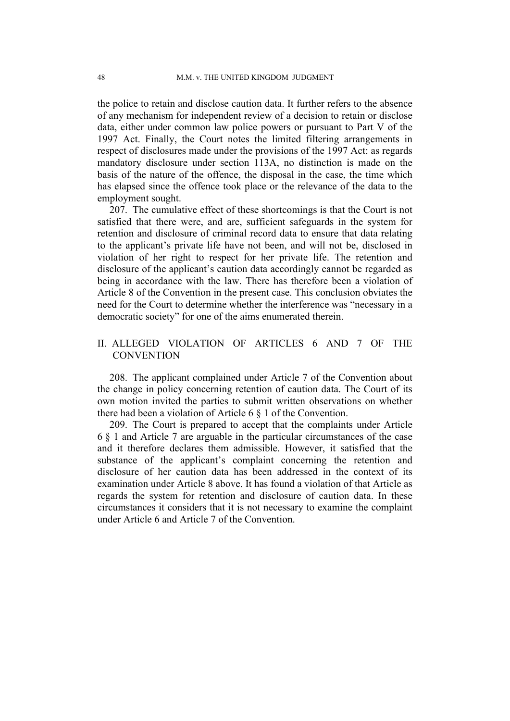the police to retain and disclose caution data. It further refers to the absence of any mechanism for independent review of a decision to retain or disclose data, either under common law police powers or pursuant to Part V of the 1997 Act. Finally, the Court notes the limited filtering arrangements in respect of disclosures made under the provisions of the 1997 Act: as regards mandatory disclosure under section 113A, no distinction is made on the basis of the nature of the offence, the disposal in the case, the time which has elapsed since the offence took place or the relevance of the data to the employment sought.

207. The cumulative effect of these shortcomings is that the Court is not satisfied that there were, and are, sufficient safeguards in the system for retention and disclosure of criminal record data to ensure that data relating to the applicant's private life have not been, and will not be, disclosed in violation of her right to respect for her private life. The retention and disclosure of the applicant's caution data accordingly cannot be regarded as being in accordance with the law. There has therefore been a violation of Article 8 of the Convention in the present case. This conclusion obviates the need for the Court to determine whether the interference was "necessary in a democratic society" for one of the aims enumerated therein.

## II. ALLEGED VIOLATION OF ARTICLES 6 AND 7 OF THE **CONVENTION**

208. The applicant complained under Article 7 of the Convention about the change in policy concerning retention of caution data. The Court of its own motion invited the parties to submit written observations on whether there had been a violation of Article 6 § 1 of the Convention.

209. The Court is prepared to accept that the complaints under Article 6 § 1 and Article 7 are arguable in the particular circumstances of the case and it therefore declares them admissible. However, it satisfied that the substance of the applicant's complaint concerning the retention and disclosure of her caution data has been addressed in the context of its examination under Article 8 above. It has found a violation of that Article as regards the system for retention and disclosure of caution data. In these circumstances it considers that it is not necessary to examine the complaint under Article 6 and Article 7 of the Convention.